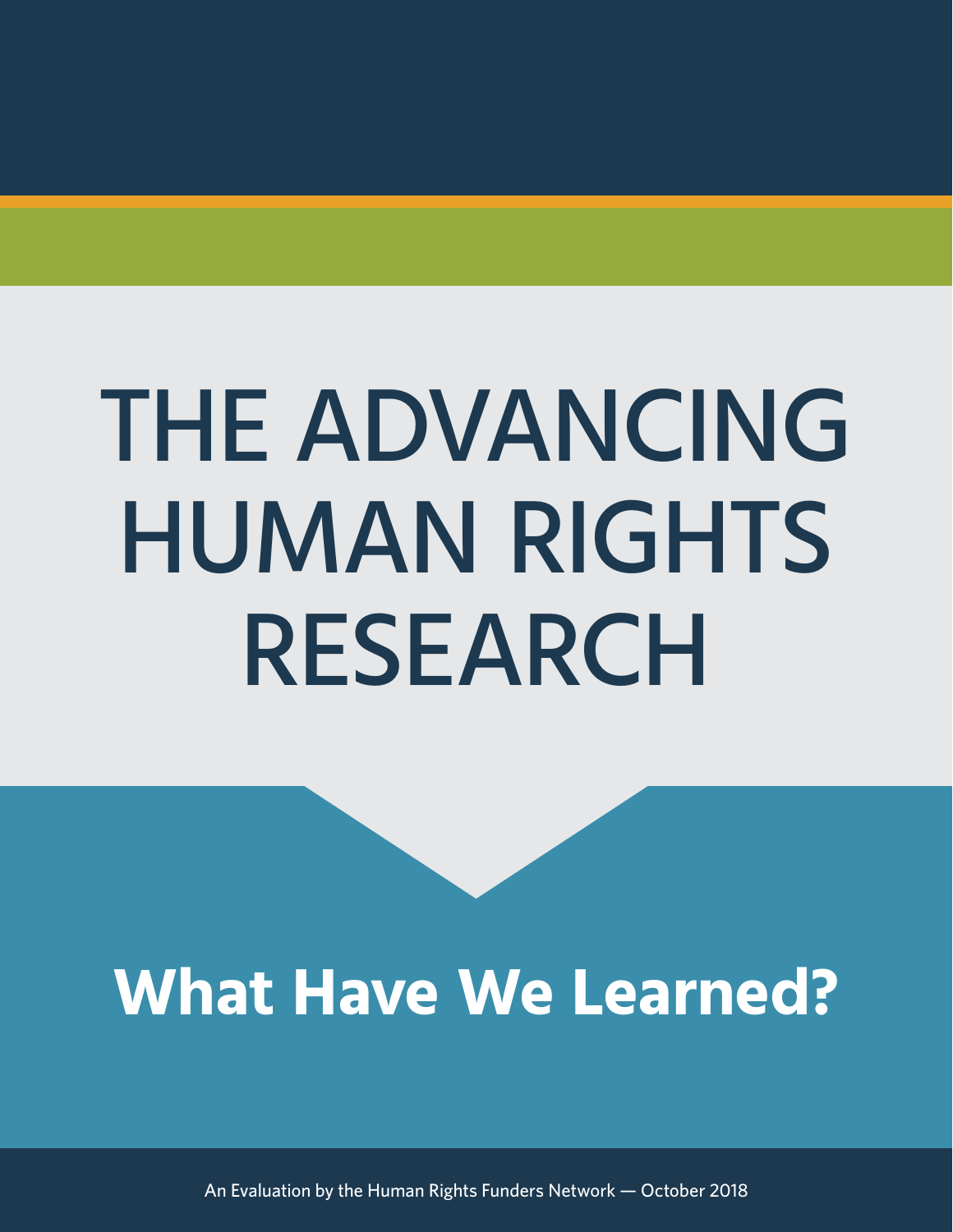# THE ADVANCING HUMAN RIGHTS RESEARCH

## **What Have We Learned?**

An Evaluation by the Human Rights Funders Network — October 2018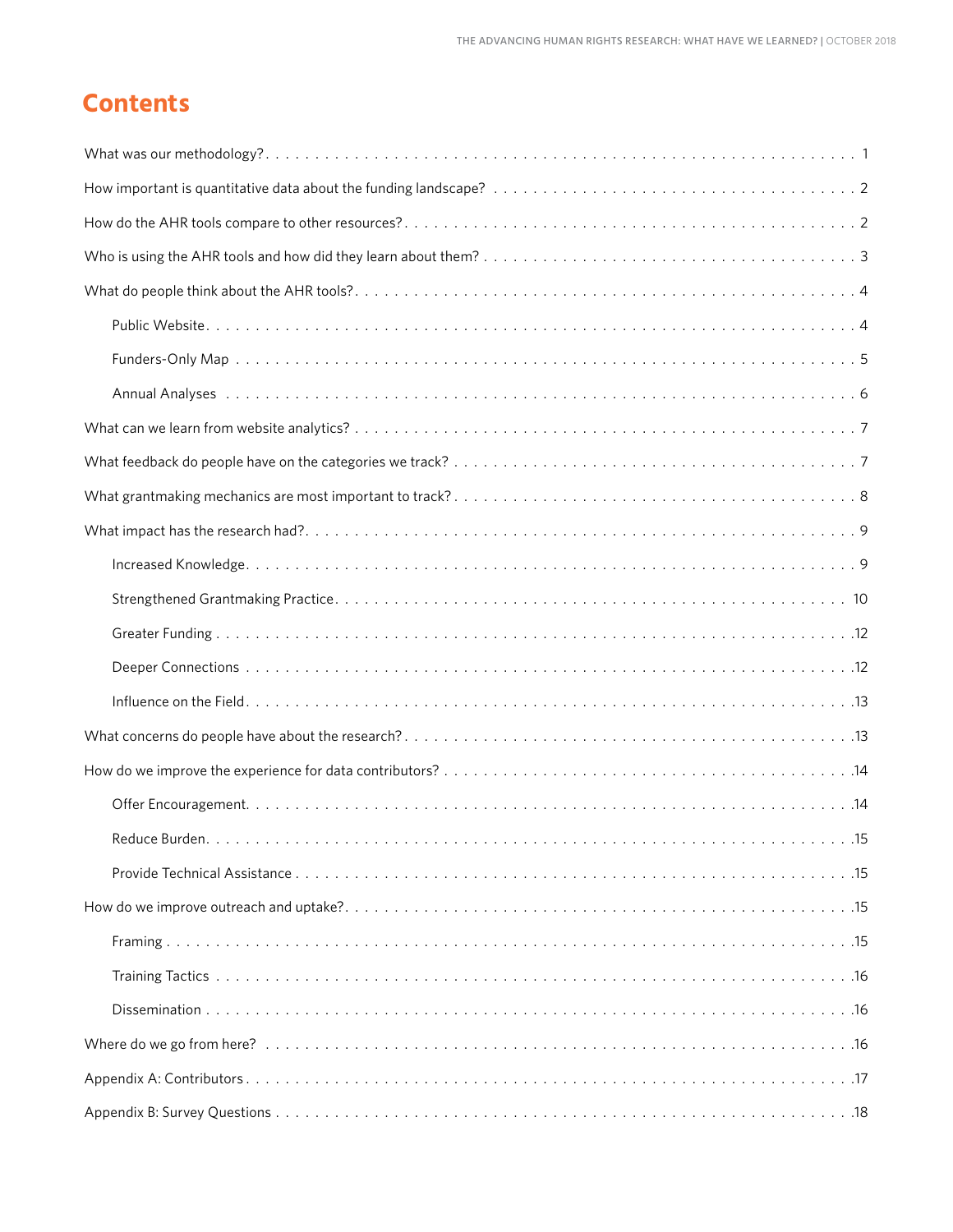## **Contents**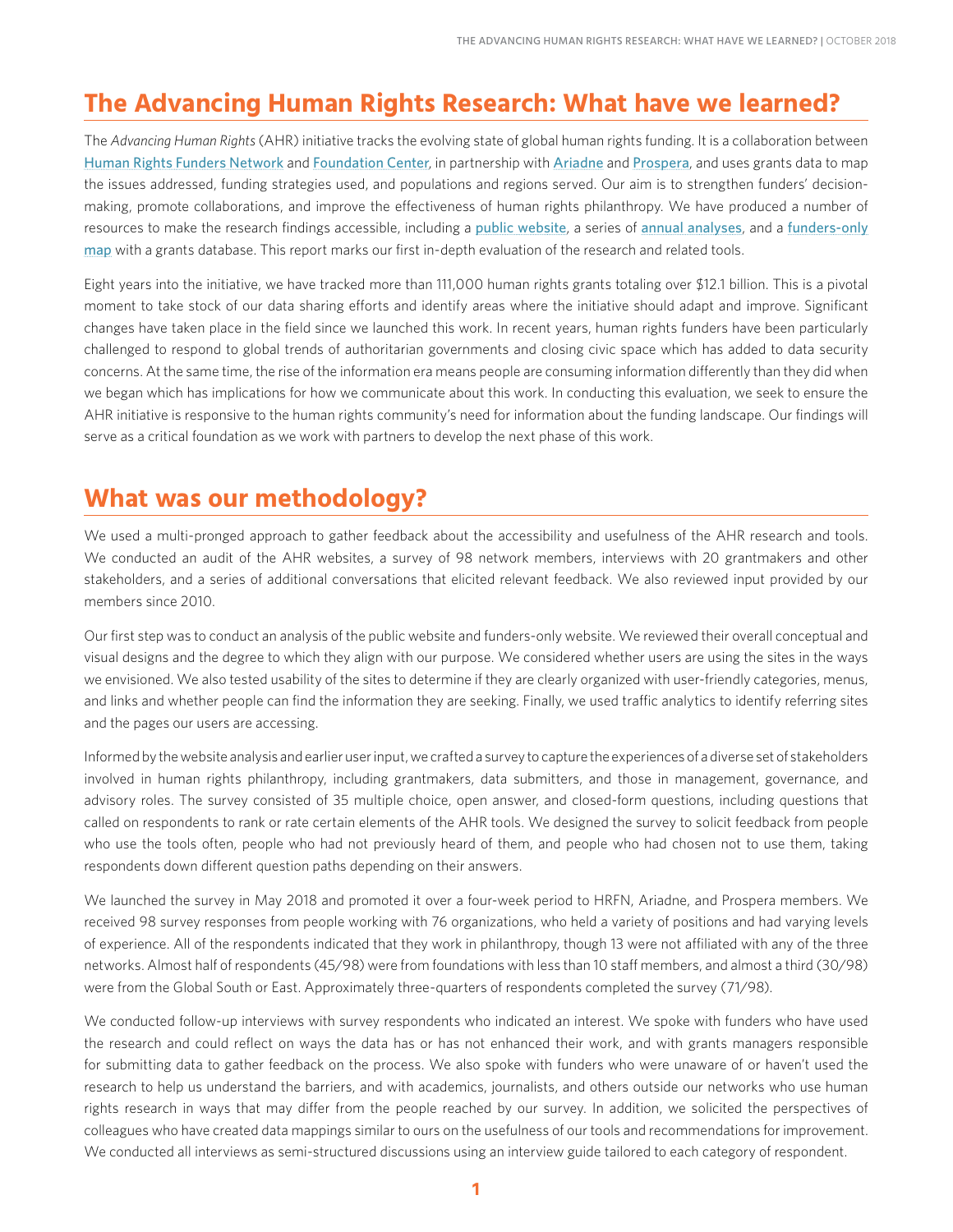## **The Advancing Human Rights Research: What have we learned?**

The *Advancing Human Rights* (AHR) initiative tracks the evolving state of global human rights funding. It is a collaboration between [Human Rights Funders Network](https://www.hrfn.org/) and [Foundation Center](http://foundationcenter.org/), in partnership with [Ariadne](http://www.ariadne-network.eu/) and [Prospera](http://www.prospera-inwf.org/#!/-welcome-2/), and uses grants data to map the issues addressed, funding strategies used, and populations and regions served. Our aim is to strengthen funders' decisionmaking, promote collaborations, and improve the effectiveness of human rights philanthropy. We have produced a number of resources to make the research findings accessible, including a [public website](http://humanrightsfunding.org/), a series of [annual analyses](http://humanrightsfunding.org/key-findings/), and a funders-only [map](https://www.hrfn.org/map/) with a grants database. This report marks our first in-depth evaluation of the research and related tools.

Eight years into the initiative, we have tracked more than 111,000 human rights grants totaling over \$12.1 billion. This is a pivotal moment to take stock of our data sharing efforts and identify areas where the initiative should adapt and improve. Significant changes have taken place in the field since we launched this work. In recent years, human rights funders have been particularly challenged to respond to global trends of authoritarian governments and closing civic space which has added to data security concerns. At the same time, the rise of the information era means people are consuming information differently than they did when we began which has implications for how we communicate about this work. In conducting this evaluation, we seek to ensure the AHR initiative is responsive to the human rights community's need for information about the funding landscape. Our findings will serve as a critical foundation as we work with partners to develop the next phase of this work.

### **What was our methodology?**

We used a multi-pronged approach to gather feedback about the accessibility and usefulness of the AHR research and tools. We conducted an audit of the AHR websites, a survey of 98 network members, interviews with 20 grantmakers and other stakeholders, and a series of additional conversations that elicited relevant feedback. We also reviewed input provided by our members since 2010.

Our first step was to conduct an analysis of the public website and funders-only website. We reviewed their overall conceptual and visual designs and the degree to which they align with our purpose. We considered whether users are using the sites in the ways we envisioned. We also tested usability of the sites to determine if they are clearly organized with user-friendly categories, menus, and links and whether people can find the information they are seeking. Finally, we used traffic analytics to identify referring sites and the pages our users are accessing.

Informed by the website analysis and earlier user input, we crafted a survey to capture the experiences of a diverse set of stakeholders involved in human rights philanthropy, including grantmakers, data submitters, and those in management, governance, and advisory roles. The survey consisted of 35 multiple choice, open answer, and closed-form questions, including questions that called on respondents to rank or rate certain elements of the AHR tools. We designed the survey to solicit feedback from people who use the tools often, people who had not previously heard of them, and people who had chosen not to use them, taking respondents down different question paths depending on their answers.

We launched the survey in May 2018 and promoted it over a four-week period to HRFN, Ariadne, and Prospera members. We received 98 survey responses from people working with 76 organizations, who held a variety of positions and had varying levels of experience. All of the respondents indicated that they work in philanthropy, though 13 were not affiliated with any of the three networks. Almost half of respondents (45/98) were from foundations with less than 10 staff members, and almost a third (30/98) were from the Global South or East. Approximately three-quarters of respondents completed the survey (71/98).

We conducted follow-up interviews with survey respondents who indicated an interest. We spoke with funders who have used the research and could reflect on ways the data has or has not enhanced their work, and with grants managers responsible for submitting data to gather feedback on the process. We also spoke with funders who were unaware of or haven't used the research to help us understand the barriers, and with academics, journalists, and others outside our networks who use human rights research in ways that may differ from the people reached by our survey. In addition, we solicited the perspectives of colleagues who have created data mappings similar to ours on the usefulness of our tools and recommendations for improvement. We conducted all interviews as semi-structured discussions using an interview guide tailored to each category of respondent.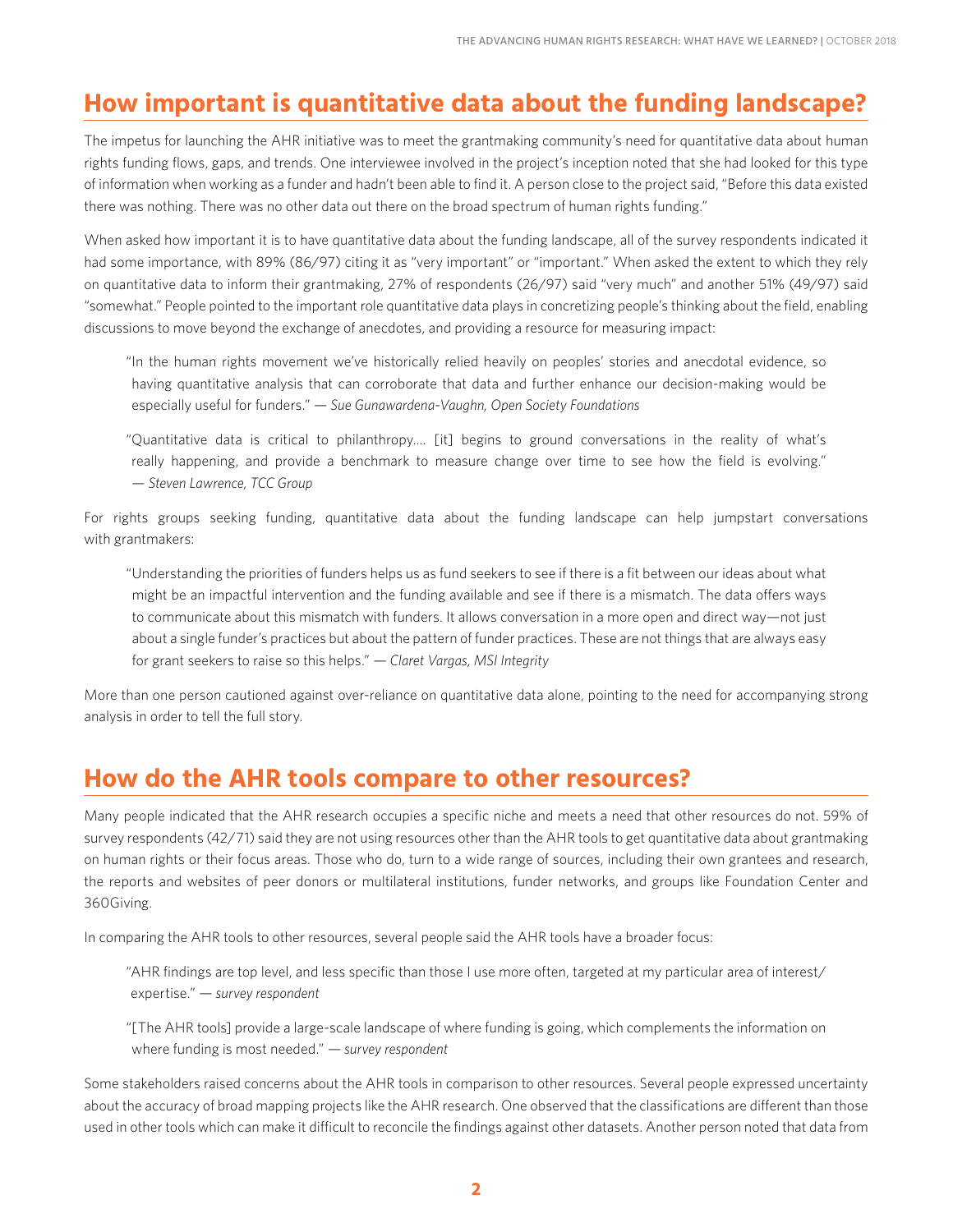## **How important is quantitative data about the funding landscape?**

The impetus for launching the AHR initiative was to meet the grantmaking community's need for quantitative data about human rights funding flows, gaps, and trends. One interviewee involved in the project's inception noted that she had looked for this type of information when working as a funder and hadn't been able to find it. A person close to the project said, "Before this data existed there was nothing. There was no other data out there on the broad spectrum of human rights funding."

When asked how important it is to have quantitative data about the funding landscape, all of the survey respondents indicated it had some importance, with 89% (86/97) citing it as "very important" or "important." When asked the extent to which they rely on quantitative data to inform their grantmaking, 27% of respondents (26/97) said "very much" and another 51% (49/97) said "somewhat." People pointed to the important role quantitative data plays in concretizing people's thinking about the field, enabling discussions to move beyond the exchange of anecdotes, and providing a resource for measuring impact:

"In the human rights movement we've historically relied heavily on peoples' stories and anecdotal evidence, so having quantitative analysis that can corroborate that data and further enhance our decision-making would be especially useful for funders." *— Sue Gunawardena-Vaughn, Open Society Foundations*

"Quantitative data is critical to philanthropy…. [it] begins to ground conversations in the reality of what's really happening, and provide a benchmark to measure change over time to see how the field is evolving." *— Steven Lawrence, TCC Group*

For rights groups seeking funding, quantitative data about the funding landscape can help jumpstart conversations with grantmakers:

"Understanding the priorities of funders helps us as fund seekers to see if there is a fit between our ideas about what might be an impactful intervention and the funding available and see if there is a mismatch. The data offers ways to communicate about this mismatch with funders. It allows conversation in a more open and direct way—not just about a single funder's practices but about the pattern of funder practices. These are not things that are always easy for grant seekers to raise so this helps." *— Claret Vargas, MSI Integrity*

More than one person cautioned against over-reliance on quantitative data alone, pointing to the need for accompanying strong analysis in order to tell the full story.

## **How do the AHR tools compare to other resources?**

Many people indicated that the AHR research occupies a specific niche and meets a need that other resources do not. 59% of survey respondents (42/71) said they are not using resources other than the AHR tools to get quantitative data about grantmaking on human rights or their focus areas. Those who do, turn to a wide range of sources, including their own grantees and research, the reports and websites of peer donors or multilateral institutions, funder networks, and groups like Foundation Center and 360Giving.

In comparing the AHR tools to other resources, several people said the AHR tools have a broader focus:

"AHR findings are top level, and less specific than those I use more often, targeted at my particular area of interest/ expertise." *— survey respondent*

"[The AHR tools] provide a large-scale landscape of where funding is going, which complements the information on where funding is most needed." *— survey respondent*

Some stakeholders raised concerns about the AHR tools in comparison to other resources. Several people expressed uncertainty about the accuracy of broad mapping projects like the AHR research. One observed that the classifications are different than those used in other tools which can make it difficult to reconcile the findings against other datasets. Another person noted that data from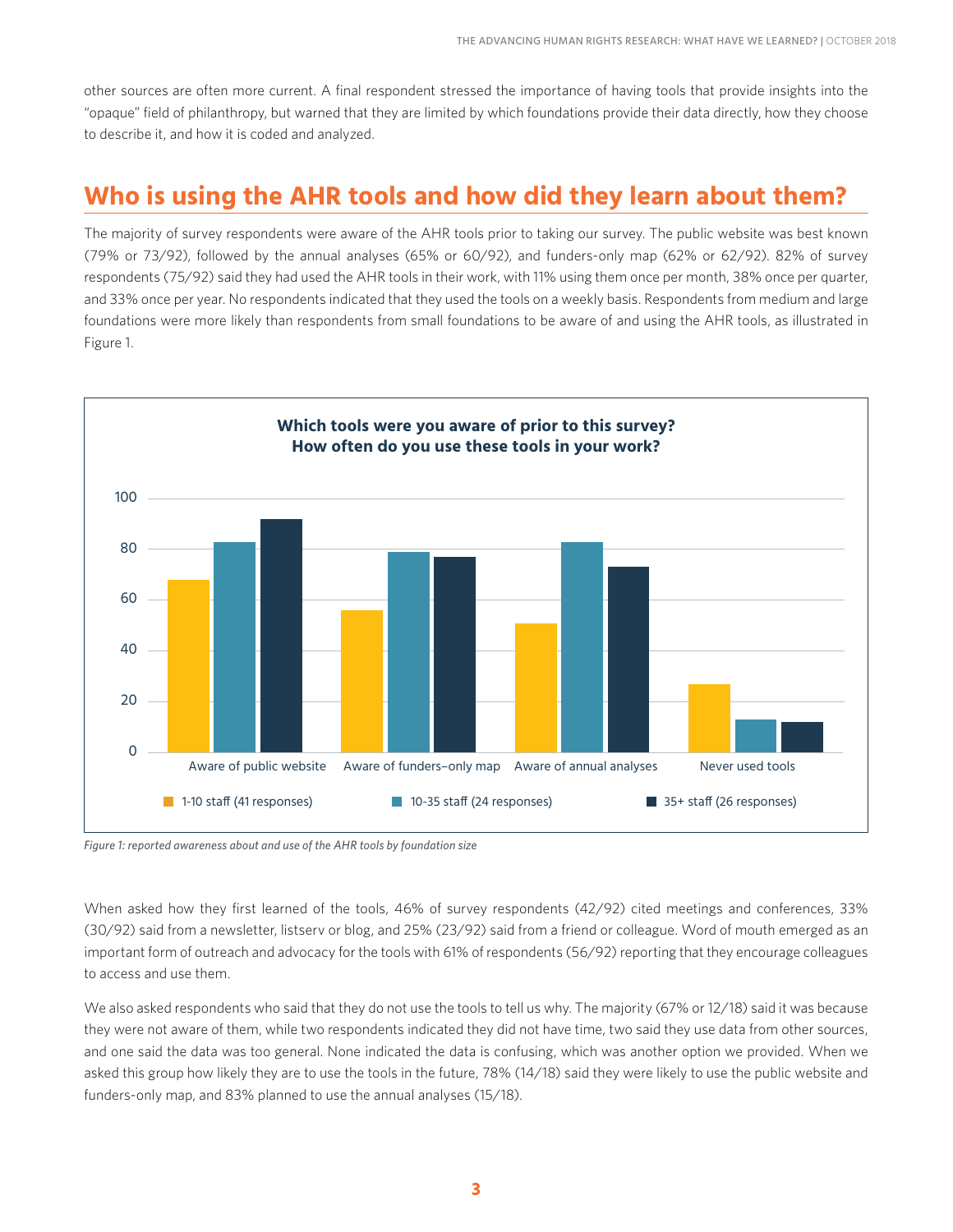other sources are often more current. A final respondent stressed the importance of having tools that provide insights into the "opaque" field of philanthropy, but warned that they are limited by which foundations provide their data directly, how they choose to describe it, and how it is coded and analyzed.

## **Who is using the AHR tools and how did they learn about them?**

The majority of survey respondents were aware of the AHR tools prior to taking our survey. The public website was best known (79% or 73/92), followed by the annual analyses (65% or 60/92), and funders-only map (62% or 62/92). 82% of survey respondents (75/92) said they had used the AHR tools in their work, with 11% using them once per month, 38% once per quarter, and 33% once per year. No respondents indicated that they used the tools on a weekly basis. Respondents from medium and large foundations were more likely than respondents from small foundations to be aware of and using the AHR tools, as illustrated in Figure 1.



#### *Figure 1: reported awareness about and use of the AHR tools by foundation size*

When asked how they first learned of the tools, 46% of survey respondents (42/92) cited meetings and conferences, 33% (30/92) said from a newsletter, listserv or blog, and 25% (23/92) said from a friend or colleague. Word of mouth emerged as an important form of outreach and advocacy for the tools with 61% of respondents (56/92) reporting that they encourage colleagues to access and use them.

We also asked respondents who said that they do not use the tools to tell us why. The majority (67% or 12/18) said it was because they were not aware of them, while two respondents indicated they did not have time, two said they use data from other sources, and one said the data was too general. None indicated the data is confusing, which was another option we provided. When we asked this group how likely they are to use the tools in the future, 78% (14/18) said they were likely to use the public website and funders-only map, and 83% planned to use the annual analyses (15/18).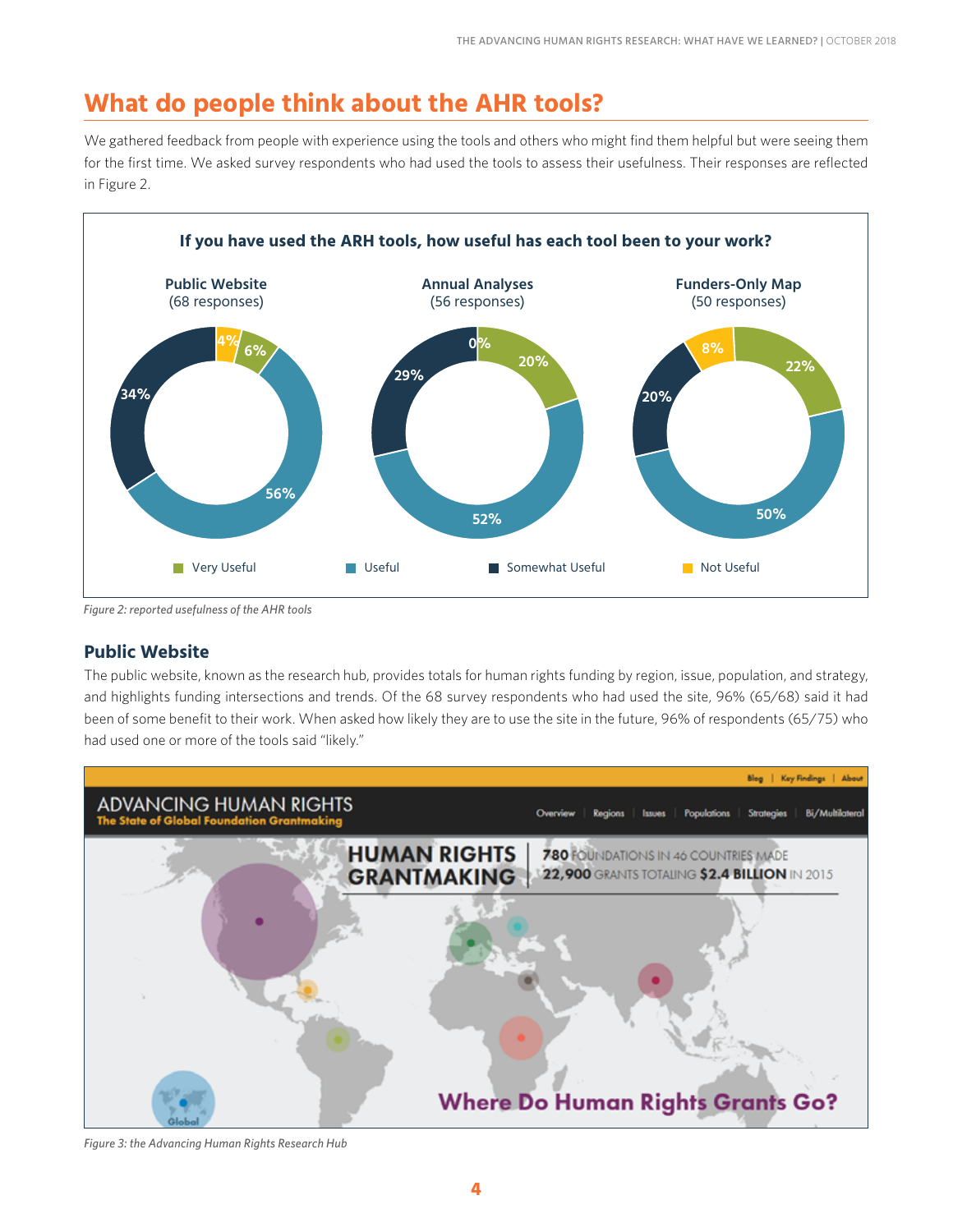## **What do people think about the AHR tools?**

We gathered feedback from people with experience using the tools and others who might find them helpful but were seeing them for the first time. We asked survey respondents who had used the tools to assess their usefulness. Their responses are reflected in Figure 2.



*Figure 2: reported usefulness of the AHR tools*

#### **Public Website**

The public website, known as the research hub, provides totals for human rights funding by region, issue, population, and strategy, and highlights funding intersections and trends. Of the 68 survey respondents who had used the site, 96% (65/68) said it had been of some benefit to their work. When asked how likely they are to use the site in the future, 96% of respondents (65/75) who had used one or more of the tools said "likely."



*Figure 3: the Advancing Human Rights Research Hub*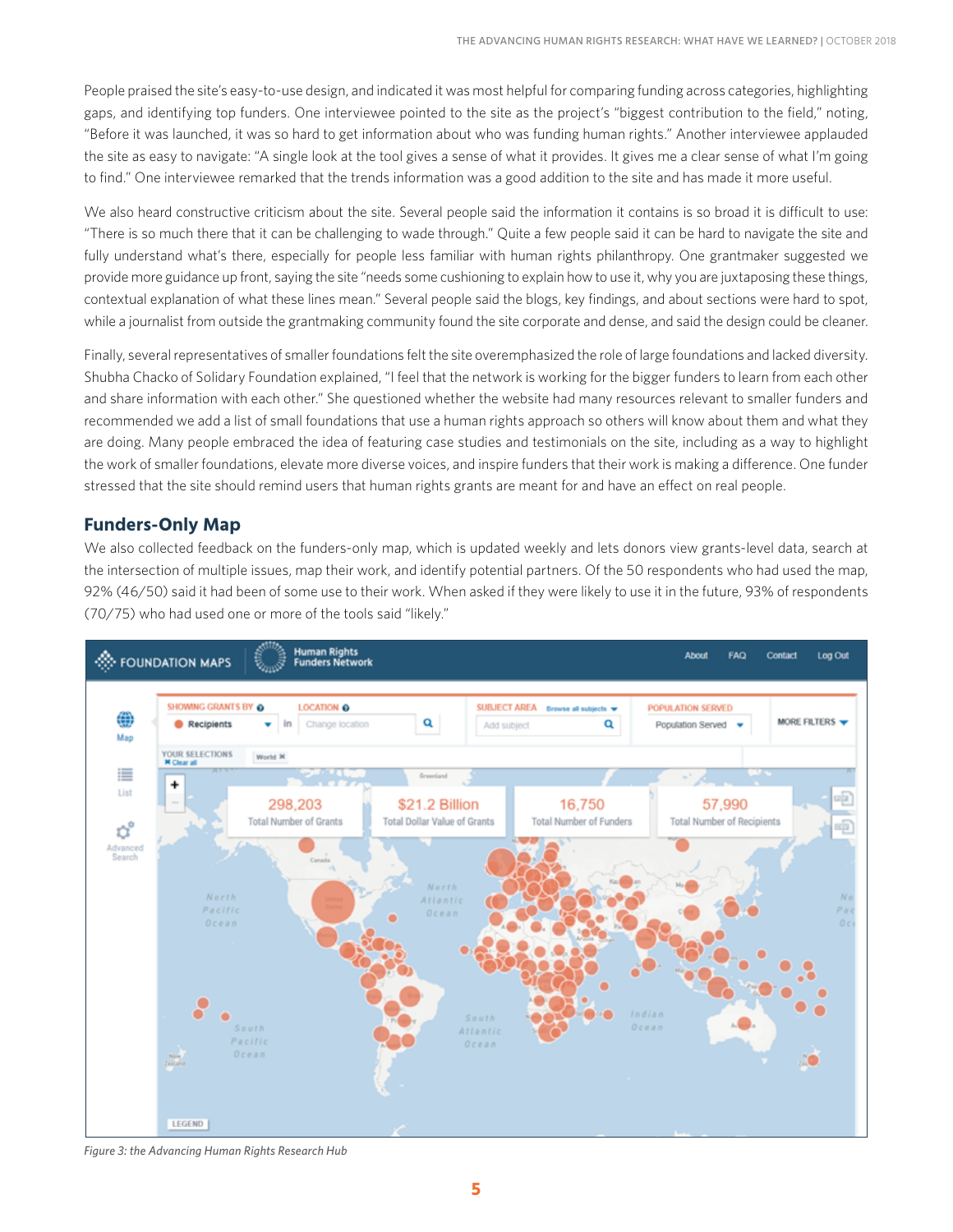People praised the site's easy-to-use design, and indicated it was most helpful for comparing funding across categories, highlighting gaps, and identifying top funders. One interviewee pointed to the site as the project's "biggest contribution to the field," noting, "Before it was launched, it was so hard to get information about who was funding human rights." Another interviewee applauded the site as easy to navigate: "A single look at the tool gives a sense of what it provides. It gives me a clear sense of what I'm going to find." One interviewee remarked that the trends information was a good addition to the site and has made it more useful.

We also heard constructive criticism about the site. Several people said the information it contains is so broad it is difficult to use: "There is so much there that it can be challenging to wade through." Quite a few people said it can be hard to navigate the site and fully understand what's there, especially for people less familiar with human rights philanthropy. One grantmaker suggested we provide more guidance up front, saying the site "needs some cushioning to explain how to use it, why you are juxtaposing these things, contextual explanation of what these lines mean." Several people said the blogs, key findings, and about sections were hard to spot, while a journalist from outside the grantmaking community found the site corporate and dense, and said the design could be cleaner.

Finally, several representatives of smaller foundations felt the site overemphasized the role of large foundations and lacked diversity. Shubha Chacko of Solidary Foundation explained, "I feel that the network is working for the bigger funders to learn from each other and share information with each other." She questioned whether the website had many resources relevant to smaller funders and recommended we add a list of small foundations that use a human rights approach so others will know about them and what they are doing. Many people embraced the idea of featuring case studies and testimonials on the site, including as a way to highlight the work of smaller foundations, elevate more diverse voices, and inspire funders that their work is making a difference. One funder stressed that the site should remind users that human rights grants are meant for and have an effect on real people.

#### **Funders-Only Map**

We also collected feedback on the funders-only map, which is updated weekly and lets donors view grants-level data, search at the intersection of multiple issues, map their work, and identify potential partners. Of the 50 respondents who had used the map, 92% (46/50) said it had been of some use to their work. When asked if they were likely to use it in the future, 93% of respondents (70/75) who had used one or more of the tools said "likely."



*Figure 3: the Advancing Human Rights Research Hub*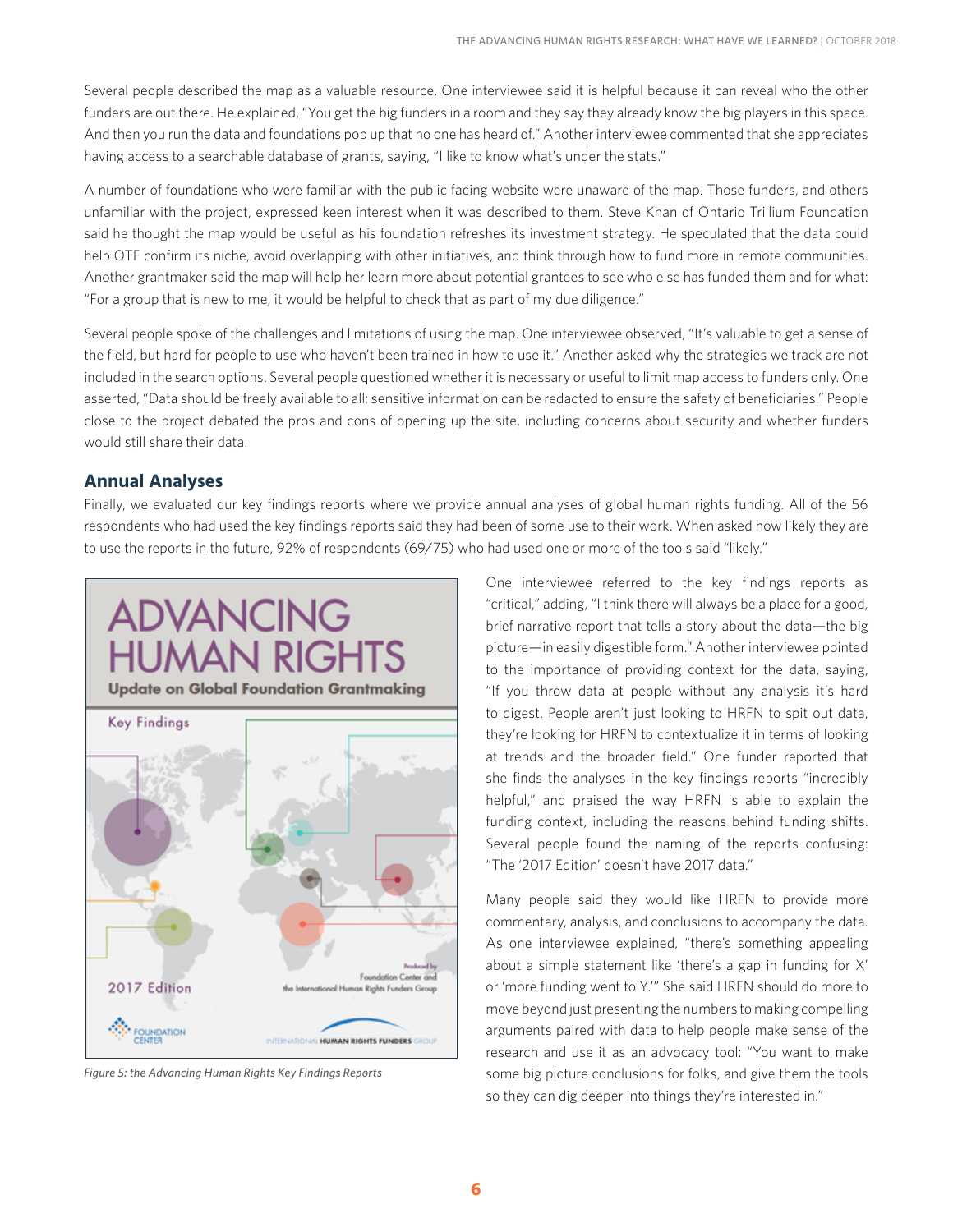Several people described the map as a valuable resource. One interviewee said it is helpful because it can reveal who the other funders are out there. He explained, "You get the big funders in a room and they say they already know the big players in this space. And then you run the data and foundations pop up that no one has heard of." Another interviewee commented that she appreciates having access to a searchable database of grants, saying, "I like to know what's under the stats."

A number of foundations who were familiar with the public facing website were unaware of the map. Those funders, and others unfamiliar with the project, expressed keen interest when it was described to them. Steve Khan of Ontario Trillium Foundation said he thought the map would be useful as his foundation refreshes its investment strategy. He speculated that the data could help OTF confirm its niche, avoid overlapping with other initiatives, and think through how to fund more in remote communities. Another grantmaker said the map will help her learn more about potential grantees to see who else has funded them and for what: "For a group that is new to me, it would be helpful to check that as part of my due diligence."

Several people spoke of the challenges and limitations of using the map. One interviewee observed, "It's valuable to get a sense of the field, but hard for people to use who haven't been trained in how to use it." Another asked why the strategies we track are not included in the search options. Several people questioned whether it is necessary or useful to limit map access to funders only. One asserted, "Data should be freely available to all; sensitive information can be redacted to ensure the safety of beneficiaries." People close to the project debated the pros and cons of opening up the site, including concerns about security and whether funders would still share their data.

#### **Annual Analyses**

Finally, we evaluated our key findings reports where we provide annual analyses of global human rights funding. All of the 56 respondents who had used the key findings reports said they had been of some use to their work. When asked how likely they are to use the reports in the future, 92% of respondents (69/75) who had used one or more of the tools said "likely."



*Figure 5: the Advancing Human Rights Key Findings Reports*

One interviewee referred to the key findings reports as "critical," adding, "I think there will always be a place for a good, brief narrative report that tells a story about the data—the big picture—in easily digestible form." Another interviewee pointed to the importance of providing context for the data, saying, "If you throw data at people without any analysis it's hard to digest. People aren't just looking to HRFN to spit out data, they're looking for HRFN to contextualize it in terms of looking at trends and the broader field." One funder reported that she finds the analyses in the key findings reports "incredibly helpful," and praised the way HRFN is able to explain the funding context, including the reasons behind funding shifts. Several people found the naming of the reports confusing: "The '2017 Edition' doesn't have 2017 data."

Many people said they would like HRFN to provide more commentary, analysis, and conclusions to accompany the data. As one interviewee explained, "there's something appealing about a simple statement like 'there's a gap in funding for X' or 'more funding went to Y.'" She said HRFN should do more to move beyond just presenting the numbers to making compelling arguments paired with data to help people make sense of the research and use it as an advocacy tool: "You want to make some big picture conclusions for folks, and give them the tools so they can dig deeper into things they're interested in."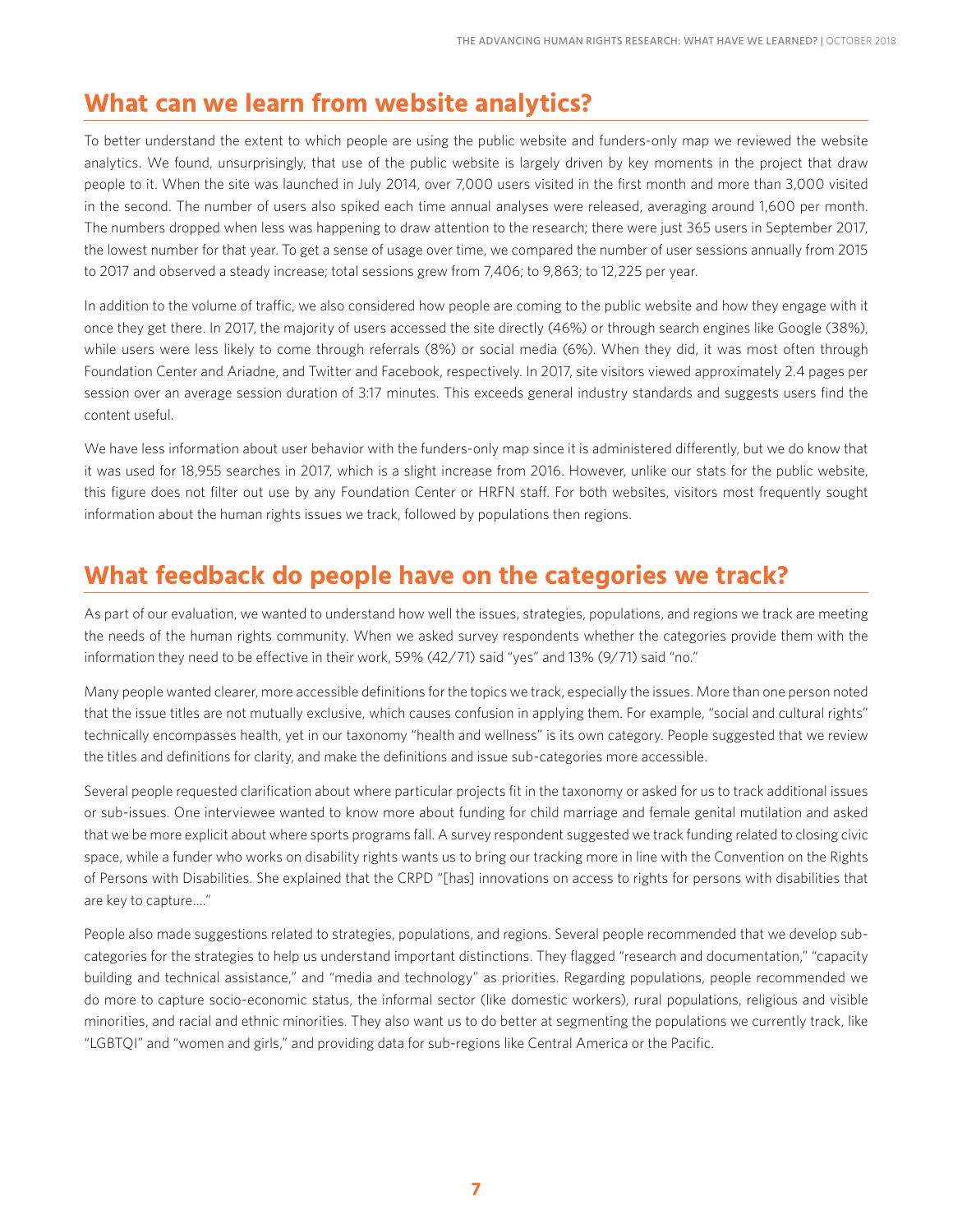## **What can we learn from website analytics?**

To better understand the extent to which people are using the public website and funders-only map we reviewed the website analytics. We found, unsurprisingly, that use of the public website is largely driven by key moments in the project that draw people to it. When the site was launched in July 2014, over 7,000 users visited in the first month and more than 3,000 visited in the second. The number of users also spiked each time annual analyses were released, averaging around 1,600 per month. The numbers dropped when less was happening to draw attention to the research; there were just 365 users in September 2017, the lowest number for that year. To get a sense of usage over time, we compared the number of user sessions annually from 2015 to 2017 and observed a steady increase; total sessions grew from 7,406; to 9,863; to 12,225 per year.

In addition to the volume of traffic, we also considered how people are coming to the public website and how they engage with it once they get there. In 2017, the majority of users accessed the site directly (46%) or through search engines like Google (38%), while users were less likely to come through referrals (8%) or social media (6%). When they did, it was most often through Foundation Center and Ariadne, and Twitter and Facebook, respectively. In 2017, site visitors viewed approximately 2.4 pages per session over an average session duration of 3:17 minutes. This exceeds general industry standards and suggests users find the content useful.

We have less information about user behavior with the funders-only map since it is administered differently, but we do know that it was used for 18,955 searches in 2017, which is a slight increase from 2016. However, unlike our stats for the public website, this figure does not filter out use by any Foundation Center or HRFN staff. For both websites, visitors most frequently sought information about the human rights issues we track, followed by populations then regions.

## **What feedback do people have on the categories we track?**

As part of our evaluation, we wanted to understand how well the issues, strategies, populations, and regions we track are meeting the needs of the human rights community. When we asked survey respondents whether the categories provide them with the information they need to be effective in their work, 59% (42/71) said "yes" and 13% (9/71) said "no."

Many people wanted clearer, more accessible definitions for the topics we track, especially the issues. More than one person noted that the issue titles are not mutually exclusive, which causes confusion in applying them. For example, "social and cultural rights" technically encompasses health, yet in our taxonomy "health and wellness" is its own category. People suggested that we review the titles and definitions for clarity, and make the definitions and issue sub-categories more accessible.

Several people requested clarification about where particular projects fit in the taxonomy or asked for us to track additional issues or sub-issues. One interviewee wanted to know more about funding for child marriage and female genital mutilation and asked that we be more explicit about where sports programs fall. A survey respondent suggested we track funding related to closing civic space, while a funder who works on disability rights wants us to bring our tracking more in line with the Convention on the Rights of Persons with Disabilities. She explained that the CRPD "[has] innovations on access to rights for persons with disabilities that are key to capture…."

People also made suggestions related to strategies, populations, and regions. Several people recommended that we develop subcategories for the strategies to help us understand important distinctions. They flagged "research and documentation," "capacity building and technical assistance," and "media and technology" as priorities. Regarding populations, people recommended we do more to capture socio-economic status, the informal sector (like domestic workers), rural populations, religious and visible minorities, and racial and ethnic minorities. They also want us to do better at segmenting the populations we currently track, like "LGBTQI" and "women and girls," and providing data for sub-regions like Central America or the Pacific.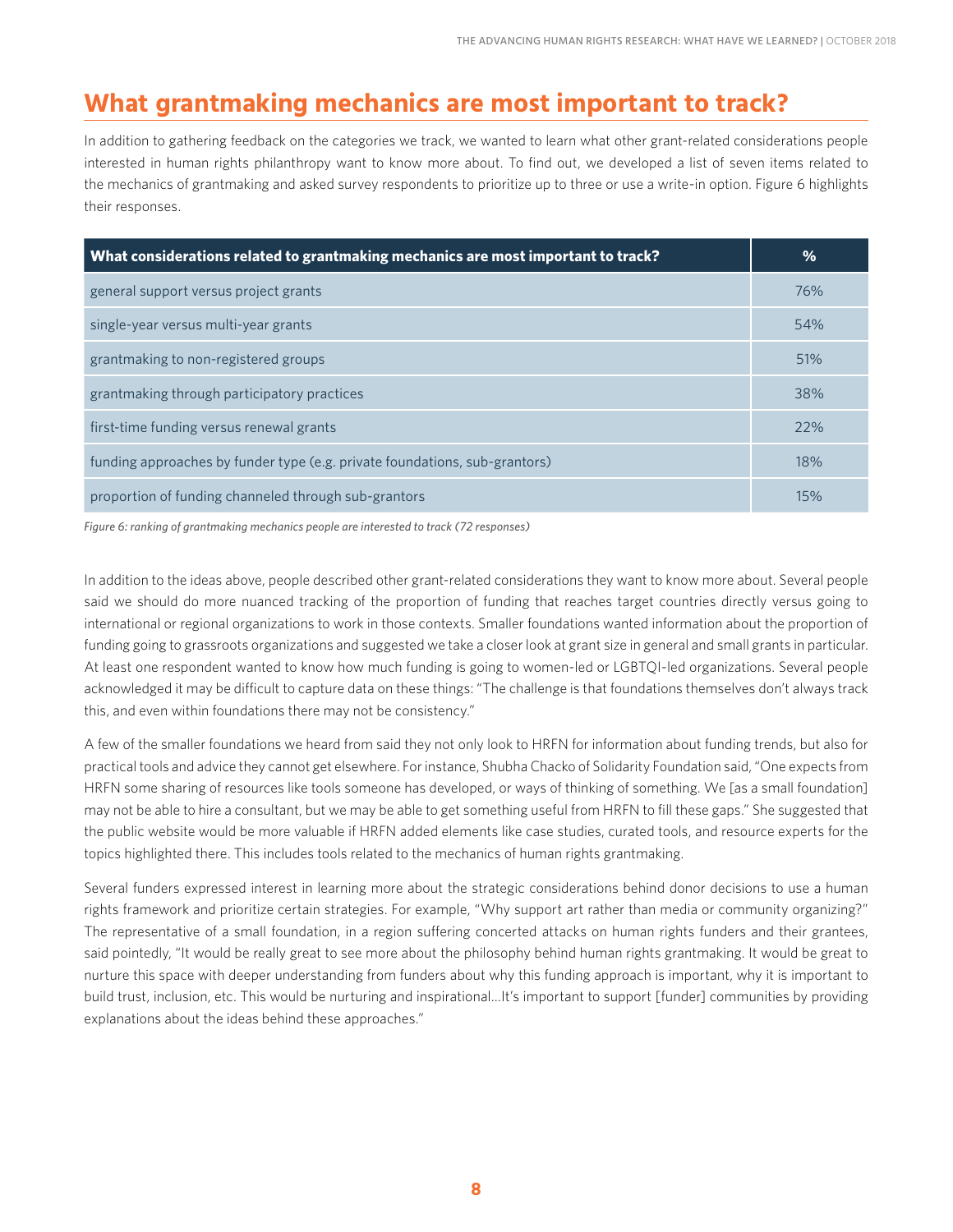## **What grantmaking mechanics are most important to track?**

In addition to gathering feedback on the categories we track, we wanted to learn what other grant-related considerations people interested in human rights philanthropy want to know more about. To find out, we developed a list of seven items related to the mechanics of grantmaking and asked survey respondents to prioritize up to three or use a write-in option. Figure 6 highlights their responses.

| What considerations related to grantmaking mechanics are most important to track? | $\%$ |
|-----------------------------------------------------------------------------------|------|
| general support versus project grants                                             | 76%  |
| single-year versus multi-year grants                                              | 54%  |
| grantmaking to non-registered groups                                              | 51%  |
| grantmaking through participatory practices                                       | 38%  |
| first-time funding versus renewal grants                                          | 22%  |
| funding approaches by funder type (e.g. private foundations, sub-grantors)        | 18%  |
| proportion of funding channeled through sub-grantors                              | 15%  |

*Figure 6: ranking of grantmaking mechanics people are interested to track (72 responses)*

In addition to the ideas above, people described other grant-related considerations they want to know more about. Several people said we should do more nuanced tracking of the proportion of funding that reaches target countries directly versus going to international or regional organizations to work in those contexts. Smaller foundations wanted information about the proportion of funding going to grassroots organizations and suggested we take a closer look at grant size in general and small grants in particular. At least one respondent wanted to know how much funding is going to women-led or LGBTQI-led organizations. Several people acknowledged it may be difficult to capture data on these things: "The challenge is that foundations themselves don't always track this, and even within foundations there may not be consistency."

A few of the smaller foundations we heard from said they not only look to HRFN for information about funding trends, but also for practical tools and advice they cannot get elsewhere. For instance, Shubha Chacko of Solidarity Foundation said, "One expects from HRFN some sharing of resources like tools someone has developed, or ways of thinking of something. We [as a small foundation] may not be able to hire a consultant, but we may be able to get something useful from HRFN to fill these gaps." She suggested that the public website would be more valuable if HRFN added elements like case studies, curated tools, and resource experts for the topics highlighted there. This includes tools related to the mechanics of human rights grantmaking.

Several funders expressed interest in learning more about the strategic considerations behind donor decisions to use a human rights framework and prioritize certain strategies. For example, "Why support art rather than media or community organizing?" The representative of a small foundation, in a region suffering concerted attacks on human rights funders and their grantees, said pointedly, "It would be really great to see more about the philosophy behind human rights grantmaking. It would be great to nurture this space with deeper understanding from funders about why this funding approach is important, why it is important to build trust, inclusion, etc. This would be nurturing and inspirational…It's important to support [funder] communities by providing explanations about the ideas behind these approaches."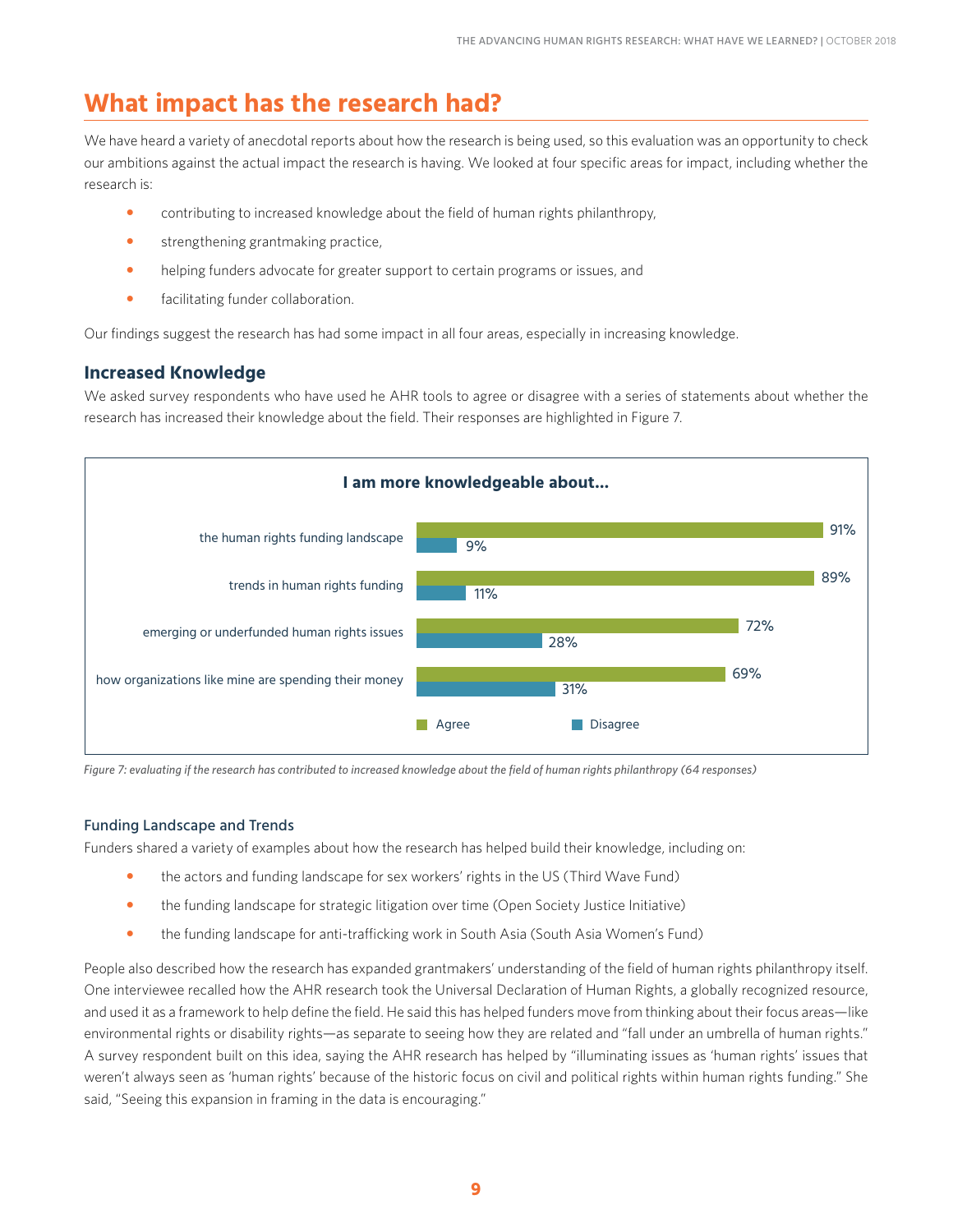## **What impact has the research had?**

We have heard a variety of anecdotal reports about how the research is being used, so this evaluation was an opportunity to check our ambitions against the actual impact the research is having. We looked at four specific areas for impact, including whether the research is:

- contributing to increased knowledge about the field of human rights philanthropy,
- strengthening grantmaking practice,
- helping funders advocate for greater support to certain programs or issues, and
- **•** facilitating funder collaboration.

Our findings suggest the research has had some impact in all four areas, especially in increasing knowledge.

#### **Increased Knowledge**

We asked survey respondents who have used he AHR tools to agree or disagree with a series of statements about whether the research has increased their knowledge about the field. Their responses are highlighted in Figure 7.



*Figure 7: evaluating if the research has contributed to increased knowledge about the field of human rights philanthropy (64 responses)*

#### Funding Landscape and Trends

Funders shared a variety of examples about how the research has helped build their knowledge, including on:

- the actors and funding landscape for sex workers' rights in the US (Third Wave Fund)
- the funding landscape for strategic litigation over time (Open Society Justice Initiative)
- the funding landscape for anti-trafficking work in South Asia (South Asia Women's Fund)

People also described how the research has expanded grantmakers' understanding of the field of human rights philanthropy itself. One interviewee recalled how the AHR research took the Universal Declaration of Human Rights, a globally recognized resource, and used it as a framework to help define the field. He said this has helped funders move from thinking about their focus areas—like environmental rights or disability rights—as separate to seeing how they are related and "fall under an umbrella of human rights." A survey respondent built on this idea, saying the AHR research has helped by "illuminating issues as 'human rights' issues that weren't always seen as 'human rights' because of the historic focus on civil and political rights within human rights funding." She said, "Seeing this expansion in framing in the data is encouraging."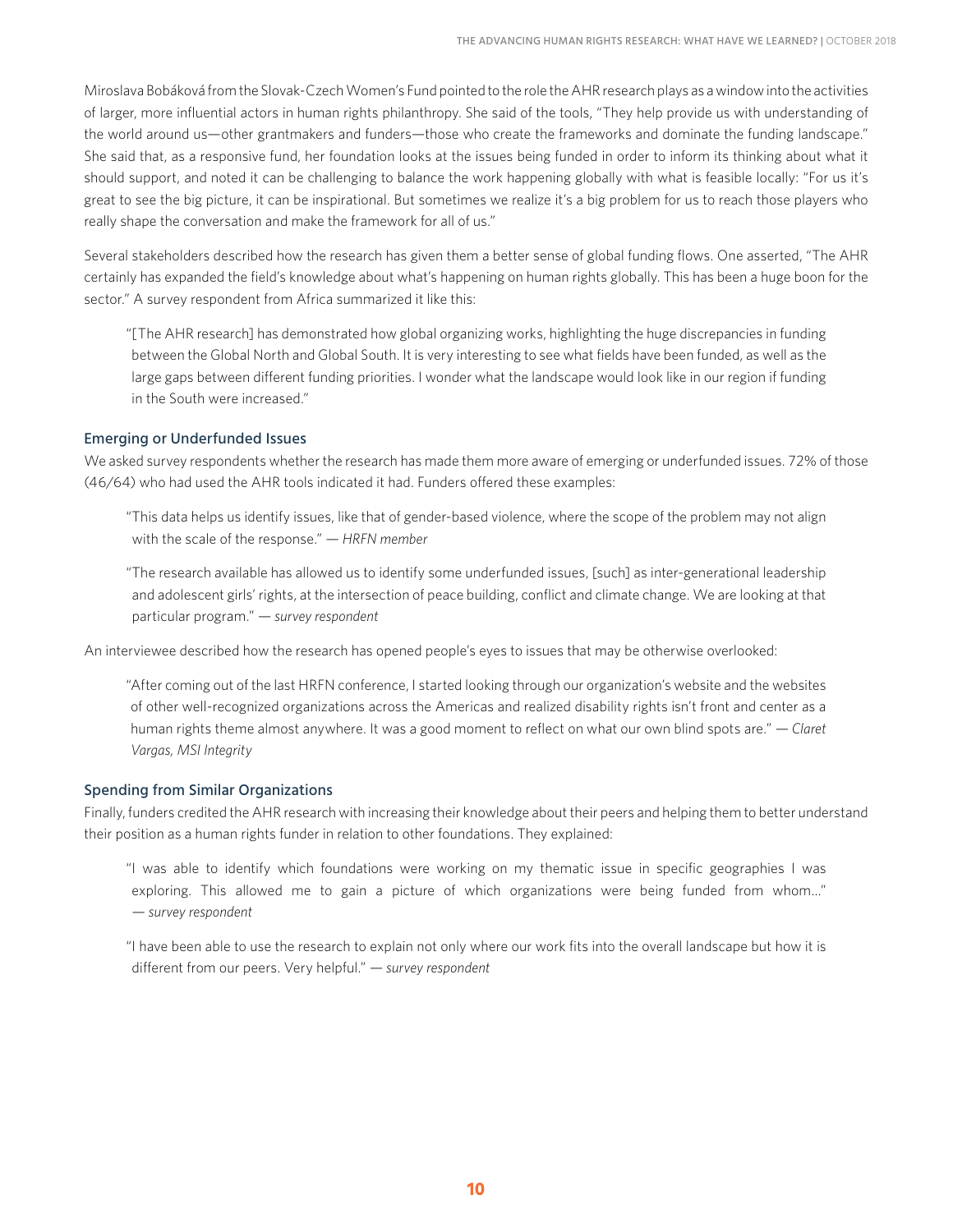Miroslava Bobáková from the Slovak-Czech Women's Fund pointed to the role the AHR research plays as a window into the activities of larger, more influential actors in human rights philanthropy. She said of the tools, "They help provide us with understanding of the world around us—other grantmakers and funders—those who create the frameworks and dominate the funding landscape." She said that, as a responsive fund, her foundation looks at the issues being funded in order to inform its thinking about what it should support, and noted it can be challenging to balance the work happening globally with what is feasible locally: "For us it's great to see the big picture, it can be inspirational. But sometimes we realize it's a big problem for us to reach those players who really shape the conversation and make the framework for all of us."

Several stakeholders described how the research has given them a better sense of global funding flows. One asserted, "The AHR certainly has expanded the field's knowledge about what's happening on human rights globally. This has been a huge boon for the sector." A survey respondent from Africa summarized it like this:

"[The AHR research] has demonstrated how global organizing works, highlighting the huge discrepancies in funding between the Global North and Global South. It is very interesting to see what fields have been funded, as well as the large gaps between different funding priorities. I wonder what the landscape would look like in our region if funding in the South were increased."

#### Emerging or Underfunded Issues

We asked survey respondents whether the research has made them more aware of emerging or underfunded issues. 72% of those (46/64) who had used the AHR tools indicated it had. Funders offered these examples:

"This data helps us identify issues, like that of gender-based violence, where the scope of the problem may not align with the scale of the response." *— HRFN member*

"The research available has allowed us to identify some underfunded issues, [such] as inter-generational leadership and adolescent girls' rights, at the intersection of peace building, conflict and climate change. We are looking at that particular program." *— survey respondent*

An interviewee described how the research has opened people's eyes to issues that may be otherwise overlooked:

"After coming out of the last HRFN conference, I started looking through our organization's website and the websites of other well-recognized organizations across the Americas and realized disability rights isn't front and center as a human rights theme almost anywhere. It was a good moment to reflect on what our own blind spots are." *— Claret Vargas, MSI Integrity*

#### Spending from Similar Organizations

Finally, funders credited the AHR research with increasing their knowledge about their peers and helping them to better understand their position as a human rights funder in relation to other foundations. They explained:

"I was able to identify which foundations were working on my thematic issue in specific geographies I was exploring. This allowed me to gain a picture of which organizations were being funded from whom…" *— survey respondent*

"I have been able to use the research to explain not only where our work fits into the overall landscape but how it is different from our peers. Very helpful." *— survey respondent*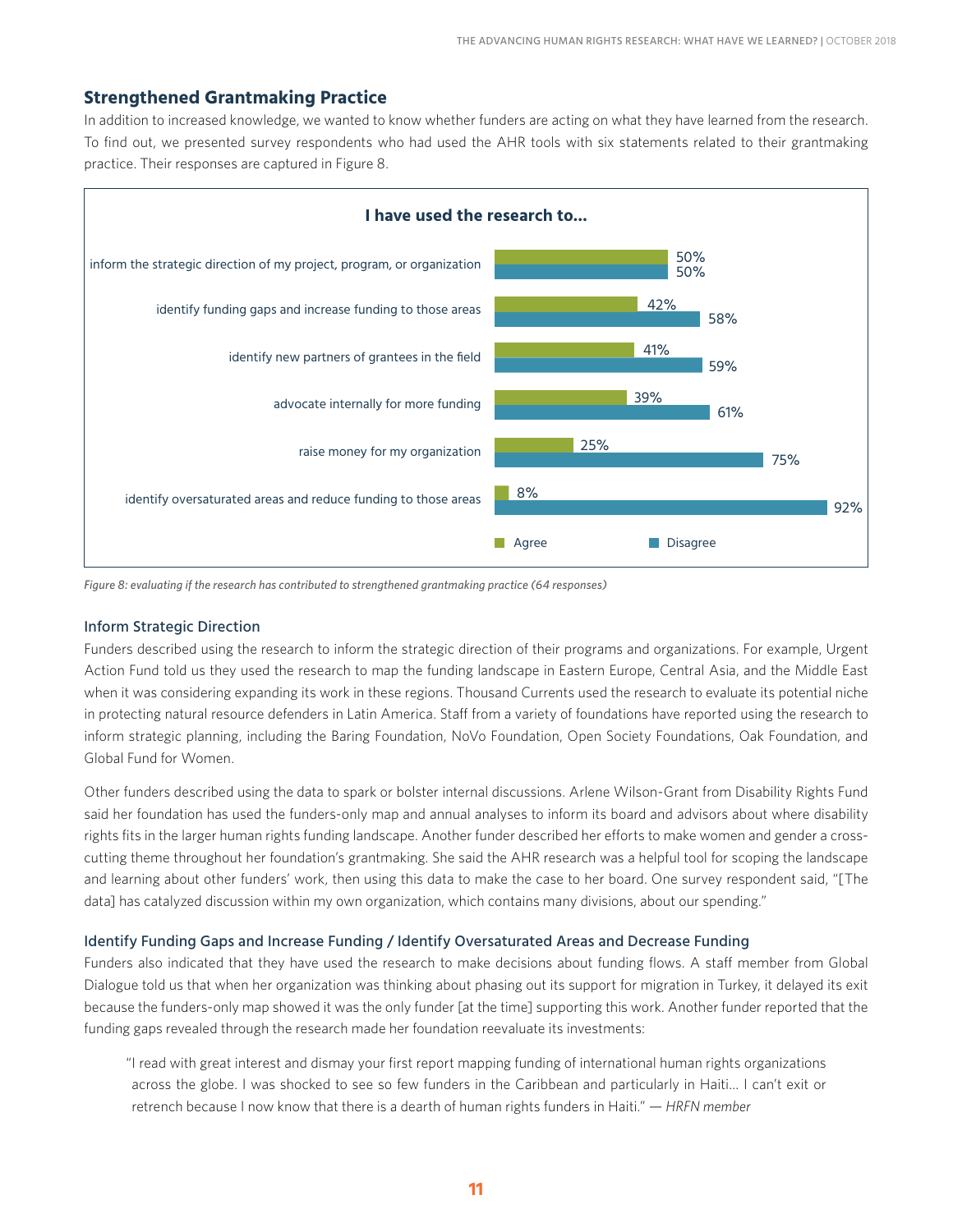#### **Strengthened Grantmaking Practice**

In addition to increased knowledge, we wanted to know whether funders are acting on what they have learned from the research. To find out, we presented survey respondents who had used the AHR tools with six statements related to their grantmaking practice. Their responses are captured in Figure 8.



*Figure 8: evaluating if the research has contributed to strengthened grantmaking practice (64 responses)*

#### Inform Strategic Direction

Funders described using the research to inform the strategic direction of their programs and organizations. For example, Urgent Action Fund told us they used the research to map the funding landscape in Eastern Europe, Central Asia, and the Middle East when it was considering expanding its work in these regions. Thousand Currents used the research to evaluate its potential niche in protecting natural resource defenders in Latin America. Staff from a variety of foundations have reported using the research to inform strategic planning, including the Baring Foundation, NoVo Foundation, Open Society Foundations, Oak Foundation, and Global Fund for Women.

Other funders described using the data to spark or bolster internal discussions. Arlene Wilson-Grant from Disability Rights Fund said her foundation has used the funders-only map and annual analyses to inform its board and advisors about where disability rights fits in the larger human rights funding landscape. Another funder described her efforts to make women and gender a crosscutting theme throughout her foundation's grantmaking. She said the AHR research was a helpful tool for scoping the landscape and learning about other funders' work, then using this data to make the case to her board. One survey respondent said, "[The data] has catalyzed discussion within my own organization, which contains many divisions, about our spending."

#### Identify Funding Gaps and Increase Funding / Identify Oversaturated Areas and Decrease Funding

Funders also indicated that they have used the research to make decisions about funding flows. A staff member from Global Dialogue told us that when her organization was thinking about phasing out its support for migration in Turkey, it delayed its exit because the funders-only map showed it was the only funder [at the time] supporting this work. Another funder reported that the funding gaps revealed through the research made her foundation reevaluate its investments:

"I read with great interest and dismay your first report mapping funding of international human rights organizations across the globe. I was shocked to see so few funders in the Caribbean and particularly in Haiti… I can't exit or retrench because I now know that there is a dearth of human rights funders in Haiti." *— HRFN member*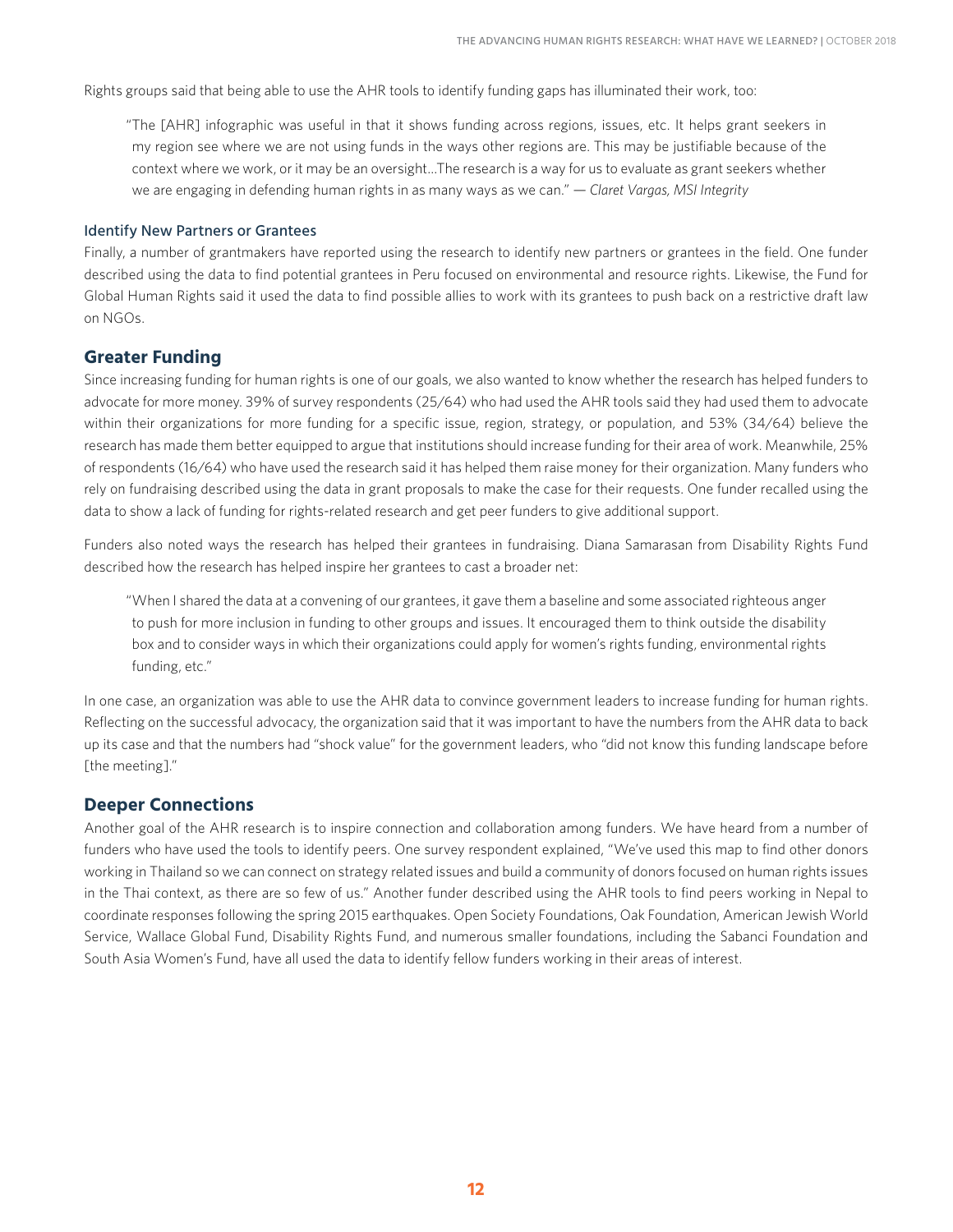Rights groups said that being able to use the AHR tools to identify funding gaps has illuminated their work, too:

"The [AHR] infographic was useful in that it shows funding across regions, issues, etc. It helps grant seekers in my region see where we are not using funds in the ways other regions are. This may be justifiable because of the context where we work, or it may be an oversight…The research is a way for us to evaluate as grant seekers whether we are engaging in defending human rights in as many ways as we can." *— Claret Vargas, MSI Integrity*

#### Identify New Partners or Grantees

Finally, a number of grantmakers have reported using the research to identify new partners or grantees in the field. One funder described using the data to find potential grantees in Peru focused on environmental and resource rights. Likewise, the Fund for Global Human Rights said it used the data to find possible allies to work with its grantees to push back on a restrictive draft law on NGOs.

#### **Greater Funding**

Since increasing funding for human rights is one of our goals, we also wanted to know whether the research has helped funders to advocate for more money. 39% of survey respondents (25/64) who had used the AHR tools said they had used them to advocate within their organizations for more funding for a specific issue, region, strategy, or population, and 53% (34/64) believe the research has made them better equipped to argue that institutions should increase funding for their area of work. Meanwhile, 25% of respondents (16/64) who have used the research said it has helped them raise money for their organization. Many funders who rely on fundraising described using the data in grant proposals to make the case for their requests. One funder recalled using the data to show a lack of funding for rights-related research and get peer funders to give additional support.

Funders also noted ways the research has helped their grantees in fundraising. Diana Samarasan from Disability Rights Fund described how the research has helped inspire her grantees to cast a broader net:

"When I shared the data at a convening of our grantees, it gave them a baseline and some associated righteous anger to push for more inclusion in funding to other groups and issues. It encouraged them to think outside the disability box and to consider ways in which their organizations could apply for women's rights funding, environmental rights funding, etc."

In one case, an organization was able to use the AHR data to convince government leaders to increase funding for human rights. Reflecting on the successful advocacy, the organization said that it was important to have the numbers from the AHR data to back up its case and that the numbers had "shock value" for the government leaders, who "did not know this funding landscape before [the meeting]."

#### **Deeper Connections**

Another goal of the AHR research is to inspire connection and collaboration among funders. We have heard from a number of funders who have used the tools to identify peers. One survey respondent explained, "We've used this map to find other donors working in Thailand so we can connect on strategy related issues and build a community of donors focused on human rights issues in the Thai context, as there are so few of us." Another funder described using the AHR tools to find peers working in Nepal to coordinate responses following the spring 2015 earthquakes. Open Society Foundations, Oak Foundation, American Jewish World Service, Wallace Global Fund, Disability Rights Fund, and numerous smaller foundations, including the Sabanci Foundation and South Asia Women's Fund, have all used the data to identify fellow funders working in their areas of interest.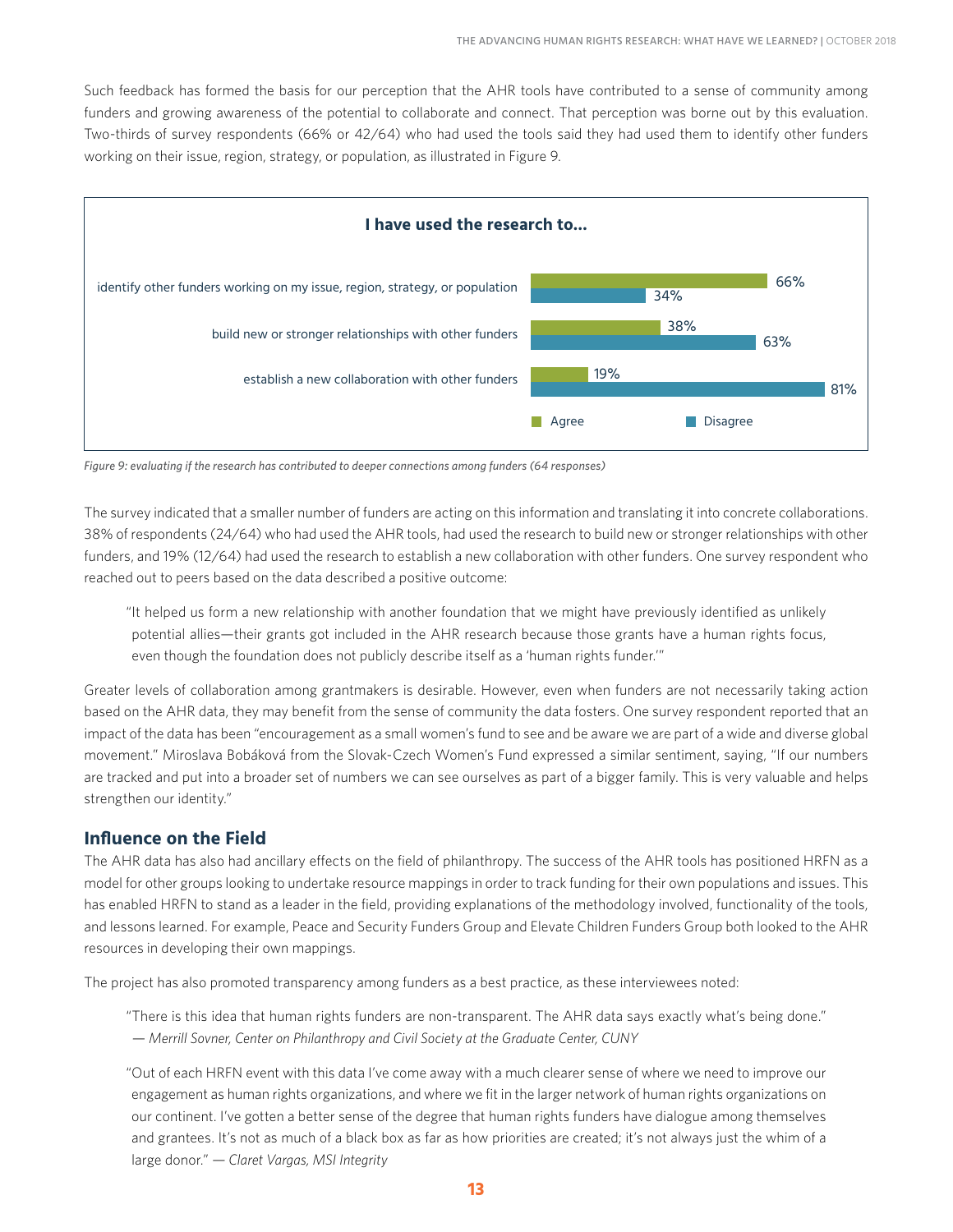Such feedback has formed the basis for our perception that the AHR tools have contributed to a sense of community among funders and growing awareness of the potential to collaborate and connect. That perception was borne out by this evaluation. Two-thirds of survey respondents (66% or 42/64) who had used the tools said they had used them to identify other funders working on their issue, region, strategy, or population, as illustrated in Figure 9.



*Figure 9: evaluating if the research has contributed to deeper connections among funders (64 responses)*

The survey indicated that a smaller number of funders are acting on this information and translating it into concrete collaborations. 38% of respondents (24/64) who had used the AHR tools, had used the research to build new or stronger relationships with other funders, and 19% (12/64) had used the research to establish a new collaboration with other funders. One survey respondent who reached out to peers based on the data described a positive outcome:

"It helped us form a new relationship with another foundation that we might have previously identified as unlikely potential allies—their grants got included in the AHR research because those grants have a human rights focus, even though the foundation does not publicly describe itself as a 'human rights funder.'"

Greater levels of collaboration among grantmakers is desirable. However, even when funders are not necessarily taking action based on the AHR data, they may benefit from the sense of community the data fosters. One survey respondent reported that an impact of the data has been "encouragement as a small women's fund to see and be aware we are part of a wide and diverse global movement." Miroslava Bobáková from the Slovak-Czech Women's Fund expressed a similar sentiment, saying, "If our numbers are tracked and put into a broader set of numbers we can see ourselves as part of a bigger family. This is very valuable and helps strengthen our identity."

#### **Influence on the Field**

The AHR data has also had ancillary effects on the field of philanthropy. The success of the AHR tools has positioned HRFN as a model for other groups looking to undertake resource mappings in order to track funding for their own populations and issues. This has enabled HRFN to stand as a leader in the field, providing explanations of the methodology involved, functionality of the tools, and lessons learned. For example, Peace and Security Funders Group and Elevate Children Funders Group both looked to the AHR resources in developing their own mappings.

The project has also promoted transparency among funders as a best practice, as these interviewees noted:

"There is this idea that human rights funders are non-transparent. The AHR data says exactly what's being done." *— Merrill Sovner, Center on Philanthropy and Civil Society at the Graduate Center, CUNY*

"Out of each HRFN event with this data I've come away with a much clearer sense of where we need to improve our engagement as human rights organizations, and where we fit in the larger network of human rights organizations on our continent. I've gotten a better sense of the degree that human rights funders have dialogue among themselves and grantees. It's not as much of a black box as far as how priorities are created; it's not always just the whim of a large donor." *— Claret Vargas, MSI Integrity*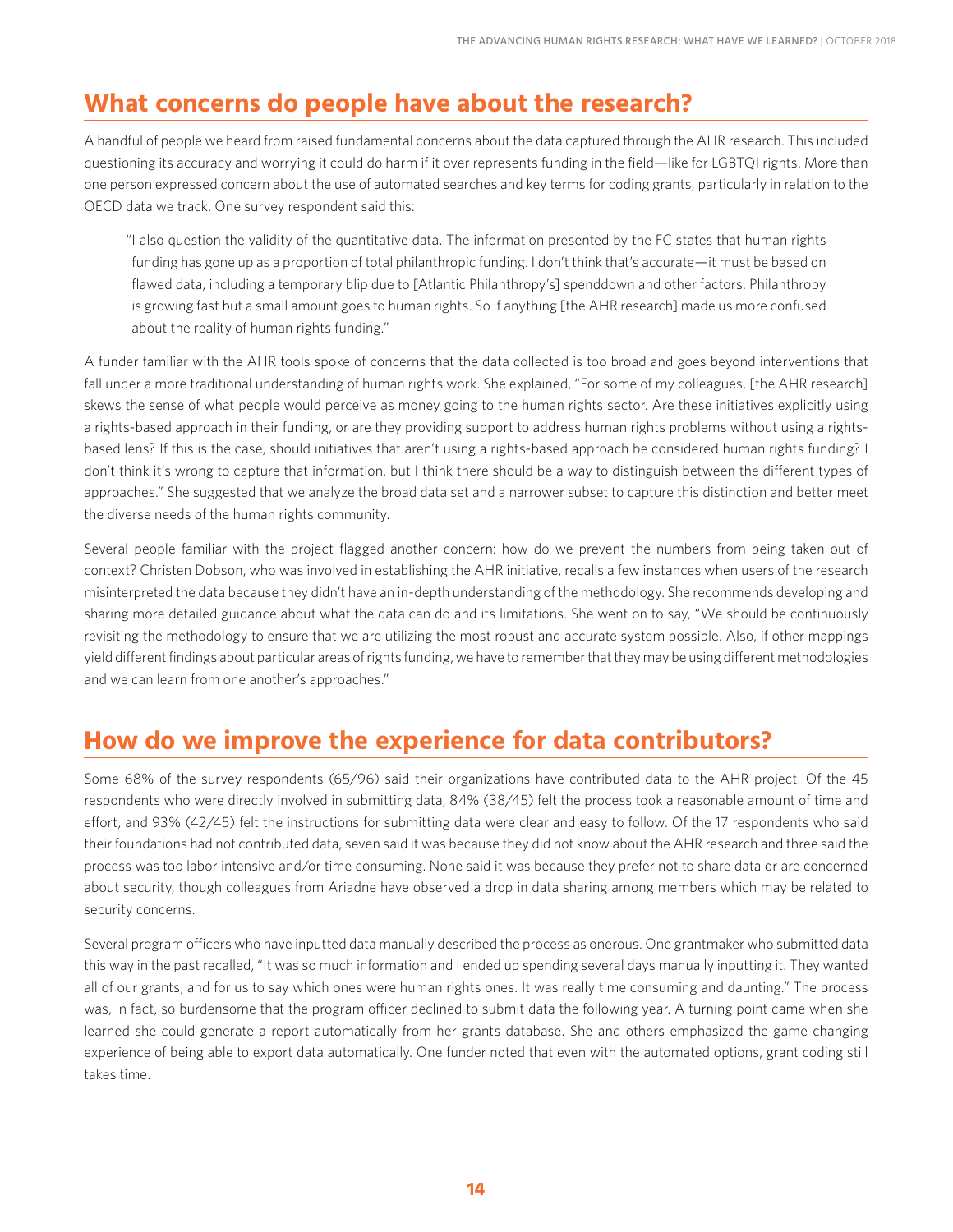## **What concerns do people have about the research?**

A handful of people we heard from raised fundamental concerns about the data captured through the AHR research. This included questioning its accuracy and worrying it could do harm if it over represents funding in the field—like for LGBTQI rights. More than one person expressed concern about the use of automated searches and key terms for coding grants, particularly in relation to the OECD data we track. One survey respondent said this:

"I also question the validity of the quantitative data. The information presented by the FC states that human rights funding has gone up as a proportion of total philanthropic funding. I don't think that's accurate—it must be based on flawed data, including a temporary blip due to [Atlantic Philanthropy's] spenddown and other factors. Philanthropy is growing fast but a small amount goes to human rights. So if anything [the AHR research] made us more confused about the reality of human rights funding."

A funder familiar with the AHR tools spoke of concerns that the data collected is too broad and goes beyond interventions that fall under a more traditional understanding of human rights work. She explained, "For some of my colleagues, [the AHR research] skews the sense of what people would perceive as money going to the human rights sector. Are these initiatives explicitly using a rights-based approach in their funding, or are they providing support to address human rights problems without using a rightsbased lens? If this is the case, should initiatives that aren't using a rights-based approach be considered human rights funding? I don't think it's wrong to capture that information, but I think there should be a way to distinguish between the different types of approaches." She suggested that we analyze the broad data set and a narrower subset to capture this distinction and better meet the diverse needs of the human rights community.

Several people familiar with the project flagged another concern: how do we prevent the numbers from being taken out of context? Christen Dobson, who was involved in establishing the AHR initiative, recalls a few instances when users of the research misinterpreted the data because they didn't have an in-depth understanding of the methodology. She recommends developing and sharing more detailed guidance about what the data can do and its limitations. She went on to say, "We should be continuously revisiting the methodology to ensure that we are utilizing the most robust and accurate system possible. Also, if other mappings yield different findings about particular areas of rights funding, we have to remember that they may be using different methodologies and we can learn from one another's approaches."

## **How do we improve the experience for data contributors?**

Some 68% of the survey respondents (65/96) said their organizations have contributed data to the AHR project. Of the 45 respondents who were directly involved in submitting data, 84% (38/45) felt the process took a reasonable amount of time and effort, and 93% (42/45) felt the instructions for submitting data were clear and easy to follow. Of the 17 respondents who said their foundations had not contributed data, seven said it was because they did not know about the AHR research and three said the process was too labor intensive and/or time consuming. None said it was because they prefer not to share data or are concerned about security, though colleagues from Ariadne have observed a drop in data sharing among members which may be related to security concerns.

Several program officers who have inputted data manually described the process as onerous. One grantmaker who submitted data this way in the past recalled, "It was so much information and I ended up spending several days manually inputting it. They wanted all of our grants, and for us to say which ones were human rights ones. It was really time consuming and daunting." The process was, in fact, so burdensome that the program officer declined to submit data the following year. A turning point came when she learned she could generate a report automatically from her grants database. She and others emphasized the game changing experience of being able to export data automatically. One funder noted that even with the automated options, grant coding still takes time.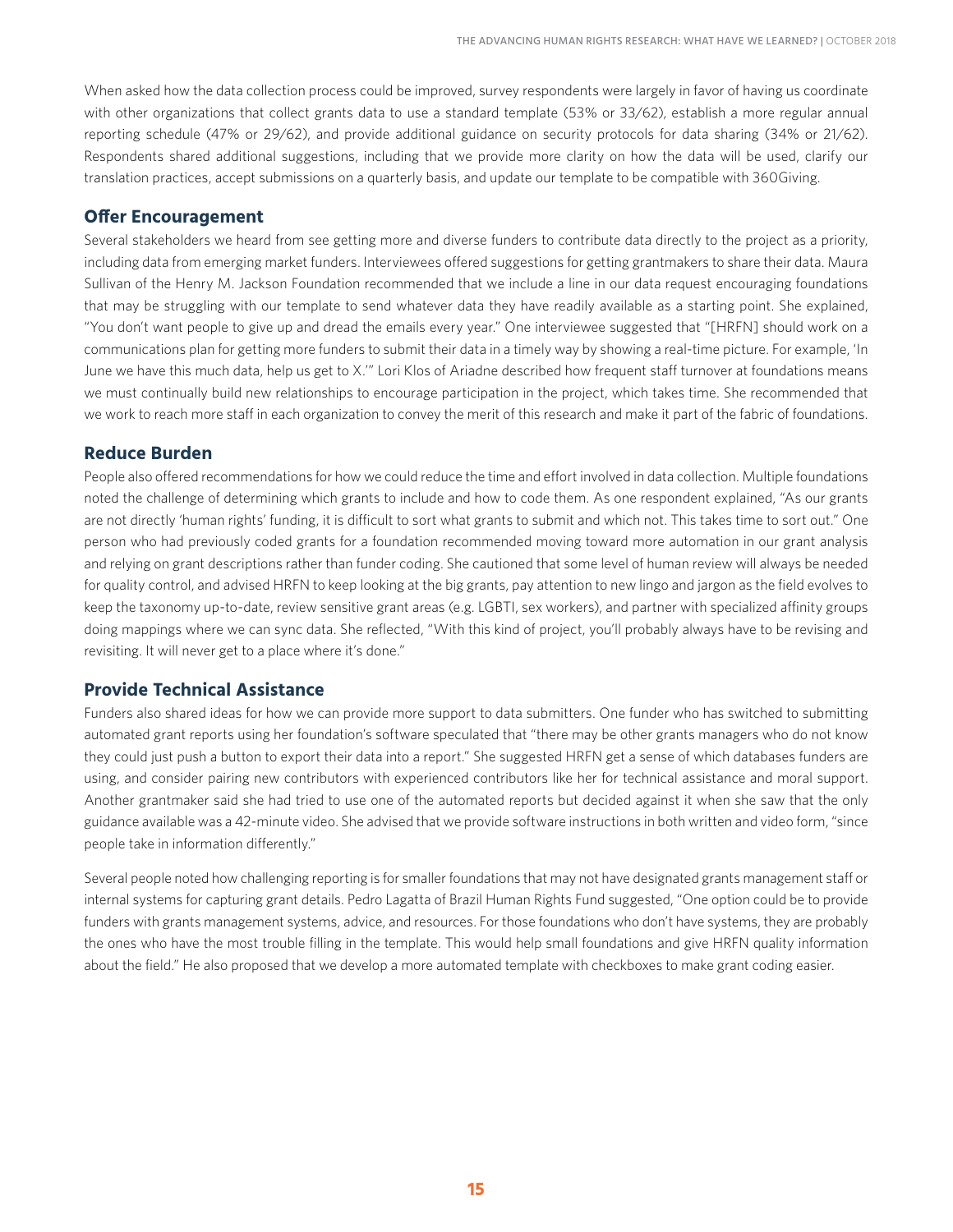When asked how the data collection process could be improved, survey respondents were largely in favor of having us coordinate with other organizations that collect grants data to use a standard template (53% or 33/62), establish a more regular annual reporting schedule (47% or 29/62), and provide additional guidance on security protocols for data sharing (34% or 21/62). Respondents shared additional suggestions, including that we provide more clarity on how the data will be used, clarify our translation practices, accept submissions on a quarterly basis, and update our template to be compatible with 360Giving.

#### **Offer Encouragement**

Several stakeholders we heard from see getting more and diverse funders to contribute data directly to the project as a priority, including data from emerging market funders. Interviewees offered suggestions for getting grantmakers to share their data. Maura Sullivan of the Henry M. Jackson Foundation recommended that we include a line in our data request encouraging foundations that may be struggling with our template to send whatever data they have readily available as a starting point. She explained, "You don't want people to give up and dread the emails every year." One interviewee suggested that "[HRFN] should work on a communications plan for getting more funders to submit their data in a timely way by showing a real-time picture. For example, 'In June we have this much data, help us get to X.'" Lori Klos of Ariadne described how frequent staff turnover at foundations means we must continually build new relationships to encourage participation in the project, which takes time. She recommended that we work to reach more staff in each organization to convey the merit of this research and make it part of the fabric of foundations.

#### **Reduce Burden**

People also offered recommendations for how we could reduce the time and effort involved in data collection. Multiple foundations noted the challenge of determining which grants to include and how to code them. As one respondent explained, "As our grants are not directly 'human rights' funding, it is difficult to sort what grants to submit and which not. This takes time to sort out." One person who had previously coded grants for a foundation recommended moving toward more automation in our grant analysis and relying on grant descriptions rather than funder coding. She cautioned that some level of human review will always be needed for quality control, and advised HRFN to keep looking at the big grants, pay attention to new lingo and jargon as the field evolves to keep the taxonomy up-to-date, review sensitive grant areas (e.g. LGBTI, sex workers), and partner with specialized affinity groups doing mappings where we can sync data. She reflected, "With this kind of project, you'll probably always have to be revising and revisiting. It will never get to a place where it's done."

#### **Provide Technical Assistance**

Funders also shared ideas for how we can provide more support to data submitters. One funder who has switched to submitting automated grant reports using her foundation's software speculated that "there may be other grants managers who do not know they could just push a button to export their data into a report." She suggested HRFN get a sense of which databases funders are using, and consider pairing new contributors with experienced contributors like her for technical assistance and moral support. Another grantmaker said she had tried to use one of the automated reports but decided against it when she saw that the only guidance available was a 42-minute video. She advised that we provide software instructions in both written and video form, "since people take in information differently."

Several people noted how challenging reporting is for smaller foundations that may not have designated grants management staff or internal systems for capturing grant details. Pedro Lagatta of Brazil Human Rights Fund suggested, "One option could be to provide funders with grants management systems, advice, and resources. For those foundations who don't have systems, they are probably the ones who have the most trouble filling in the template. This would help small foundations and give HRFN quality information about the field." He also proposed that we develop a more automated template with checkboxes to make grant coding easier.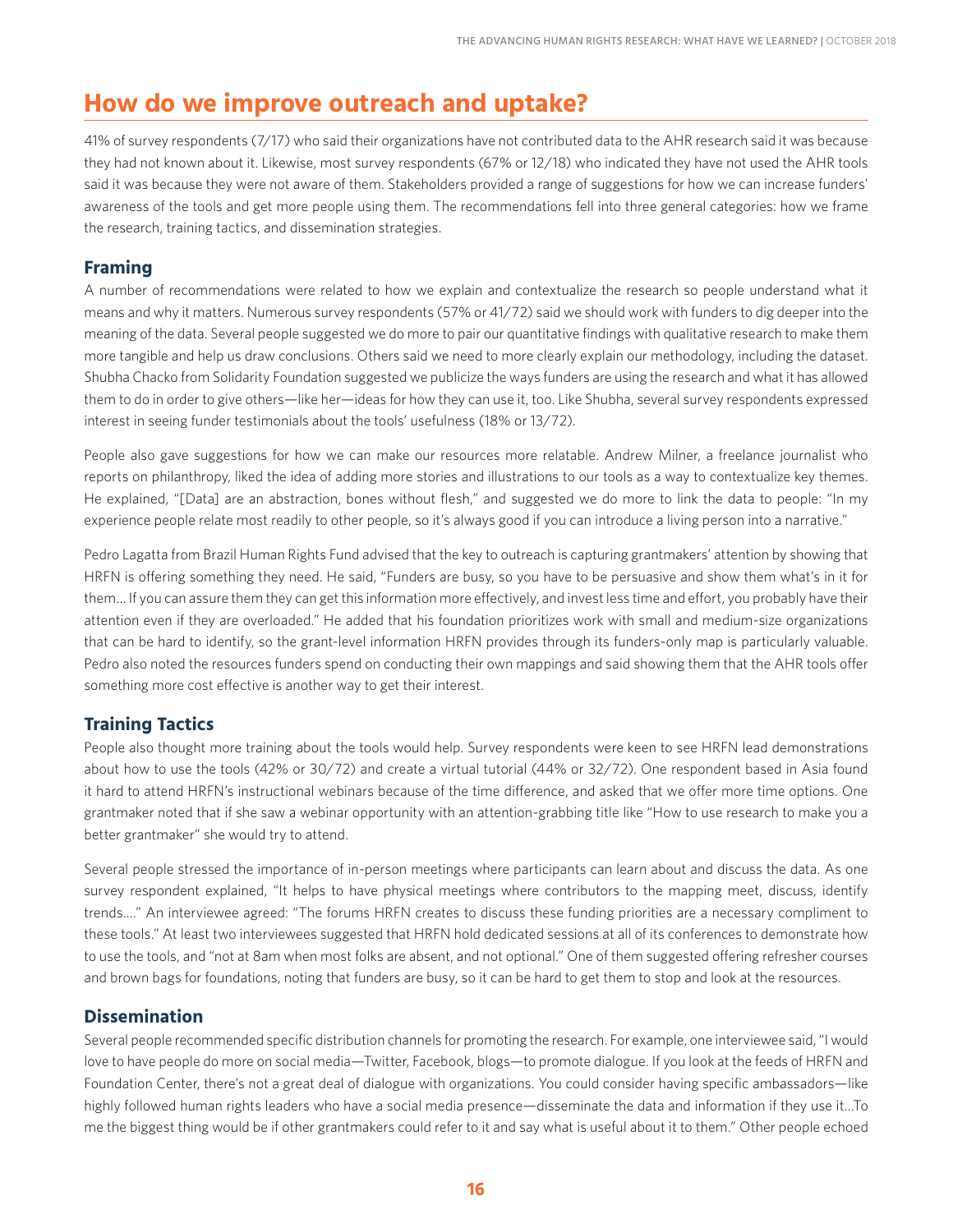## **How do we improve outreach and uptake?**

41% of survey respondents (7/17) who said their organizations have not contributed data to the AHR research said it was because they had not known about it. Likewise, most survey respondents (67% or 12/18) who indicated they have not used the AHR tools said it was because they were not aware of them. Stakeholders provided a range of suggestions for how we can increase funders' awareness of the tools and get more people using them. The recommendations fell into three general categories: how we frame the research, training tactics, and dissemination strategies.

#### **Framing**

A number of recommendations were related to how we explain and contextualize the research so people understand what it means and why it matters. Numerous survey respondents (57% or 41/72) said we should work with funders to dig deeper into the meaning of the data. Several people suggested we do more to pair our quantitative findings with qualitative research to make them more tangible and help us draw conclusions. Others said we need to more clearly explain our methodology, including the dataset. Shubha Chacko from Solidarity Foundation suggested we publicize the ways funders are using the research and what it has allowed them to do in order to give others—like her—ideas for how they can use it, too. Like Shubha, several survey respondents expressed interest in seeing funder testimonials about the tools' usefulness (18% or 13/72).

People also gave suggestions for how we can make our resources more relatable. Andrew Milner, a freelance journalist who reports on philanthropy, liked the idea of adding more stories and illustrations to our tools as a way to contextualize key themes. He explained, "[Data] are an abstraction, bones without flesh," and suggested we do more to link the data to people: "In my experience people relate most readily to other people, so it's always good if you can introduce a living person into a narrative."

Pedro Lagatta from Brazil Human Rights Fund advised that the key to outreach is capturing grantmakers' attention by showing that HRFN is offering something they need. He said, "Funders are busy, so you have to be persuasive and show them what's in it for them… If you can assure them they can get this information more effectively, and invest less time and effort, you probably have their attention even if they are overloaded." He added that his foundation prioritizes work with small and medium-size organizations that can be hard to identify, so the grant-level information HRFN provides through its funders-only map is particularly valuable. Pedro also noted the resources funders spend on conducting their own mappings and said showing them that the AHR tools offer something more cost effective is another way to get their interest.

#### **Training Tactics**

People also thought more training about the tools would help. Survey respondents were keen to see HRFN lead demonstrations about how to use the tools (42% or 30/72) and create a virtual tutorial (44% or 32/72). One respondent based in Asia found it hard to attend HRFN's instructional webinars because of the time difference, and asked that we offer more time options. One grantmaker noted that if she saw a webinar opportunity with an attention-grabbing title like "How to use research to make you a better grantmaker" she would try to attend.

Several people stressed the importance of in-person meetings where participants can learn about and discuss the data. As one survey respondent explained, "It helps to have physical meetings where contributors to the mapping meet, discuss, identify trends…." An interviewee agreed: "The forums HRFN creates to discuss these funding priorities are a necessary compliment to these tools." At least two interviewees suggested that HRFN hold dedicated sessions at all of its conferences to demonstrate how to use the tools, and "not at 8am when most folks are absent, and not optional." One of them suggested offering refresher courses and brown bags for foundations, noting that funders are busy, so it can be hard to get them to stop and look at the resources.

#### **Dissemination**

Several people recommended specific distribution channels for promoting the research. For example, one interviewee said, "I would love to have people do more on social media—Twitter, Facebook, blogs—to promote dialogue. If you look at the feeds of HRFN and Foundation Center, there's not a great deal of dialogue with organizations. You could consider having specific ambassadors—like highly followed human rights leaders who have a social media presence—disseminate the data and information if they use it...To me the biggest thing would be if other grantmakers could refer to it and say what is useful about it to them." Other people echoed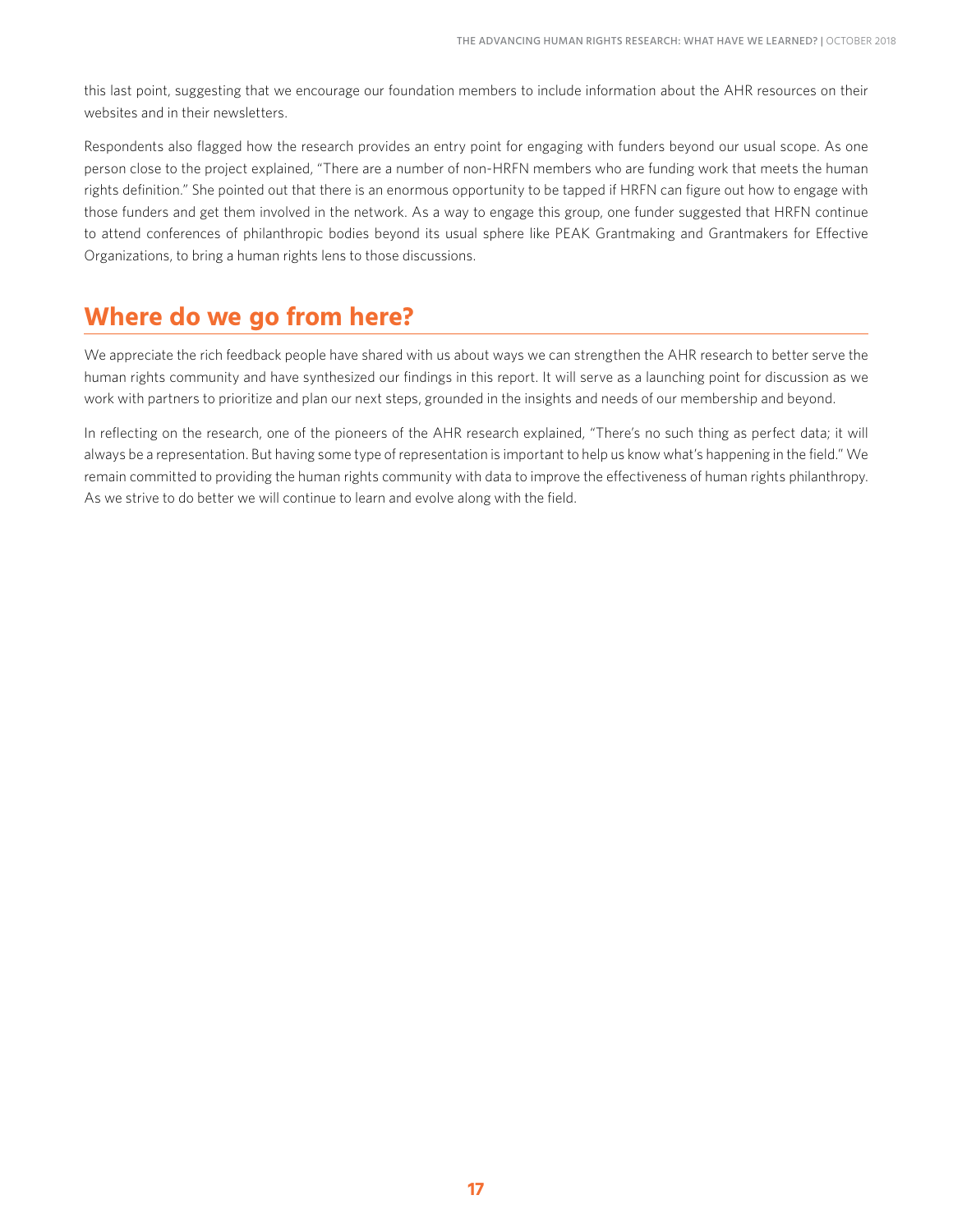this last point, suggesting that we encourage our foundation members to include information about the AHR resources on their websites and in their newsletters.

Respondents also flagged how the research provides an entry point for engaging with funders beyond our usual scope. As one person close to the project explained, "There are a number of non-HRFN members who are funding work that meets the human rights definition." She pointed out that there is an enormous opportunity to be tapped if HRFN can figure out how to engage with those funders and get them involved in the network. As a way to engage this group, one funder suggested that HRFN continue to attend conferences of philanthropic bodies beyond its usual sphere like PEAK Grantmaking and Grantmakers for Effective Organizations, to bring a human rights lens to those discussions.

## **Where do we go from here?**

We appreciate the rich feedback people have shared with us about ways we can strengthen the AHR research to better serve the human rights community and have synthesized our findings in this report. It will serve as a launching point for discussion as we work with partners to prioritize and plan our next steps, grounded in the insights and needs of our membership and beyond.

In reflecting on the research, one of the pioneers of the AHR research explained, "There's no such thing as perfect data; it will always be a representation. But having some type of representation is important to help us know what's happening in the field." We remain committed to providing the human rights community with data to improve the effectiveness of human rights philanthropy. As we strive to do better we will continue to learn and evolve along with the field.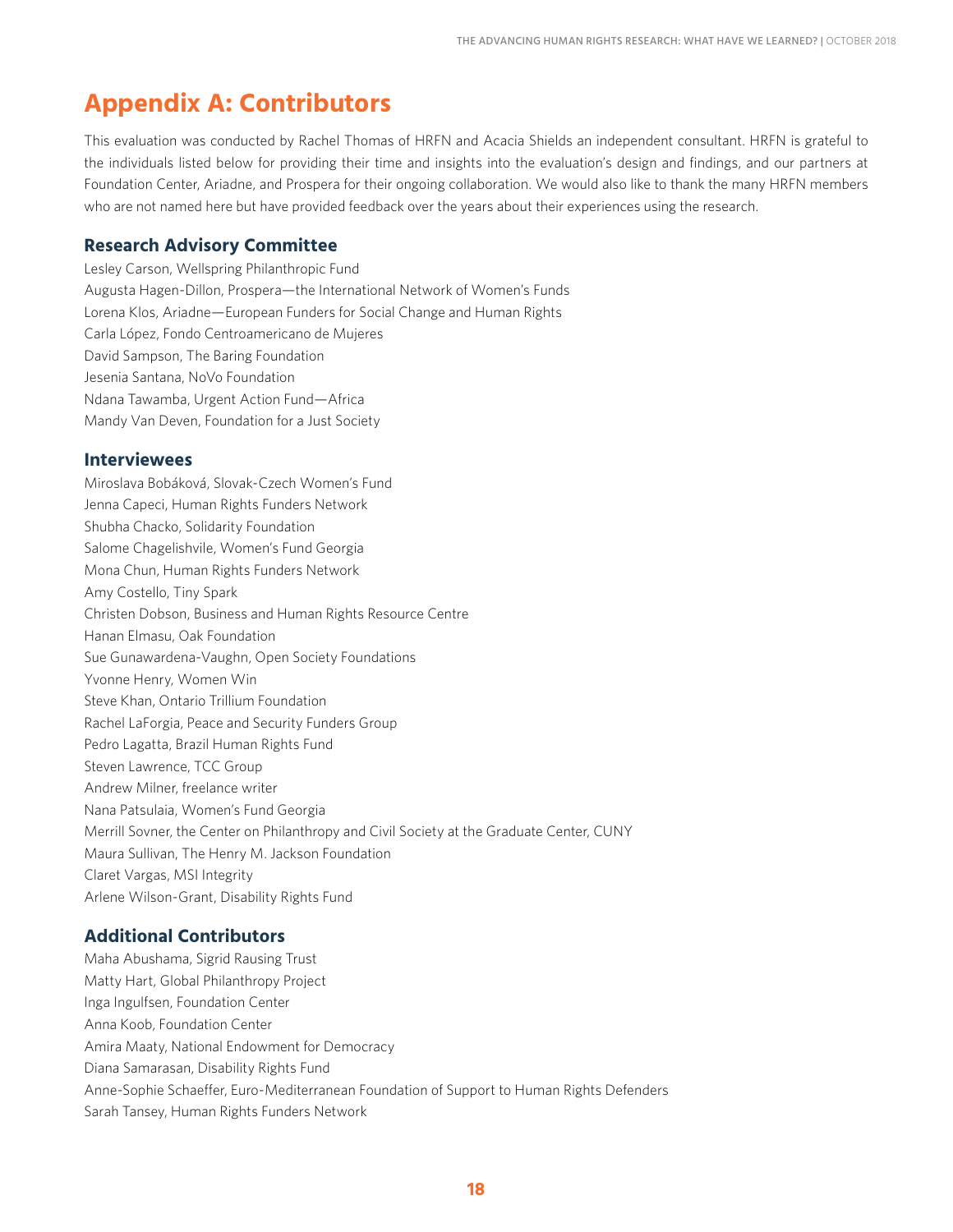## **Appendix A: Contributors**

This evaluation was conducted by Rachel Thomas of HRFN and Acacia Shields an independent consultant. HRFN is grateful to the individuals listed below for providing their time and insights into the evaluation's design and findings, and our partners at Foundation Center, Ariadne, and Prospera for their ongoing collaboration. We would also like to thank the many HRFN members who are not named here but have provided feedback over the years about their experiences using the research.

#### **Research Advisory Committee**

Lesley Carson, Wellspring Philanthropic Fund Augusta Hagen-Dillon, Prospera—the International Network of Women's Funds Lorena Klos, Ariadne—European Funders for Social Change and Human Rights Carla López, Fondo Centroamericano de Mujeres David Sampson, The Baring Foundation Jesenia Santana, NoVo Foundation Ndana Tawamba, Urgent Action Fund—Africa Mandy Van Deven, Foundation for a Just Society

#### **Interviewees**

Miroslava Bobáková, Slovak-Czech Women's Fund Jenna Capeci, Human Rights Funders Network Shubha Chacko, Solidarity Foundation Salome Chagelishvile, Women's Fund Georgia Mona Chun, Human Rights Funders Network Amy Costello, Tiny Spark Christen Dobson, Business and Human Rights Resource Centre Hanan Elmasu, Oak Foundation Sue Gunawardena-Vaughn, Open Society Foundations Yvonne Henry, Women Win Steve Khan, Ontario Trillium Foundation Rachel LaForgia, Peace and Security Funders Group Pedro Lagatta, Brazil Human Rights Fund Steven Lawrence, TCC Group Andrew Milner, freelance writer Nana Patsulaia, Women's Fund Georgia Merrill Sovner, the Center on Philanthropy and Civil Society at the Graduate Center, CUNY Maura Sullivan, The Henry M. Jackson Foundation Claret Vargas, MSI Integrity Arlene Wilson-Grant, Disability Rights Fund

#### **Additional Contributors**

Maha Abushama, Sigrid Rausing Trust Matty Hart, Global Philanthropy Project Inga Ingulfsen, Foundation Center Anna Koob, Foundation Center Amira Maaty, National Endowment for Democracy Diana Samarasan, Disability Rights Fund Anne-Sophie Schaeffer, Euro-Mediterranean Foundation of Support to Human Rights Defenders Sarah Tansey, Human Rights Funders Network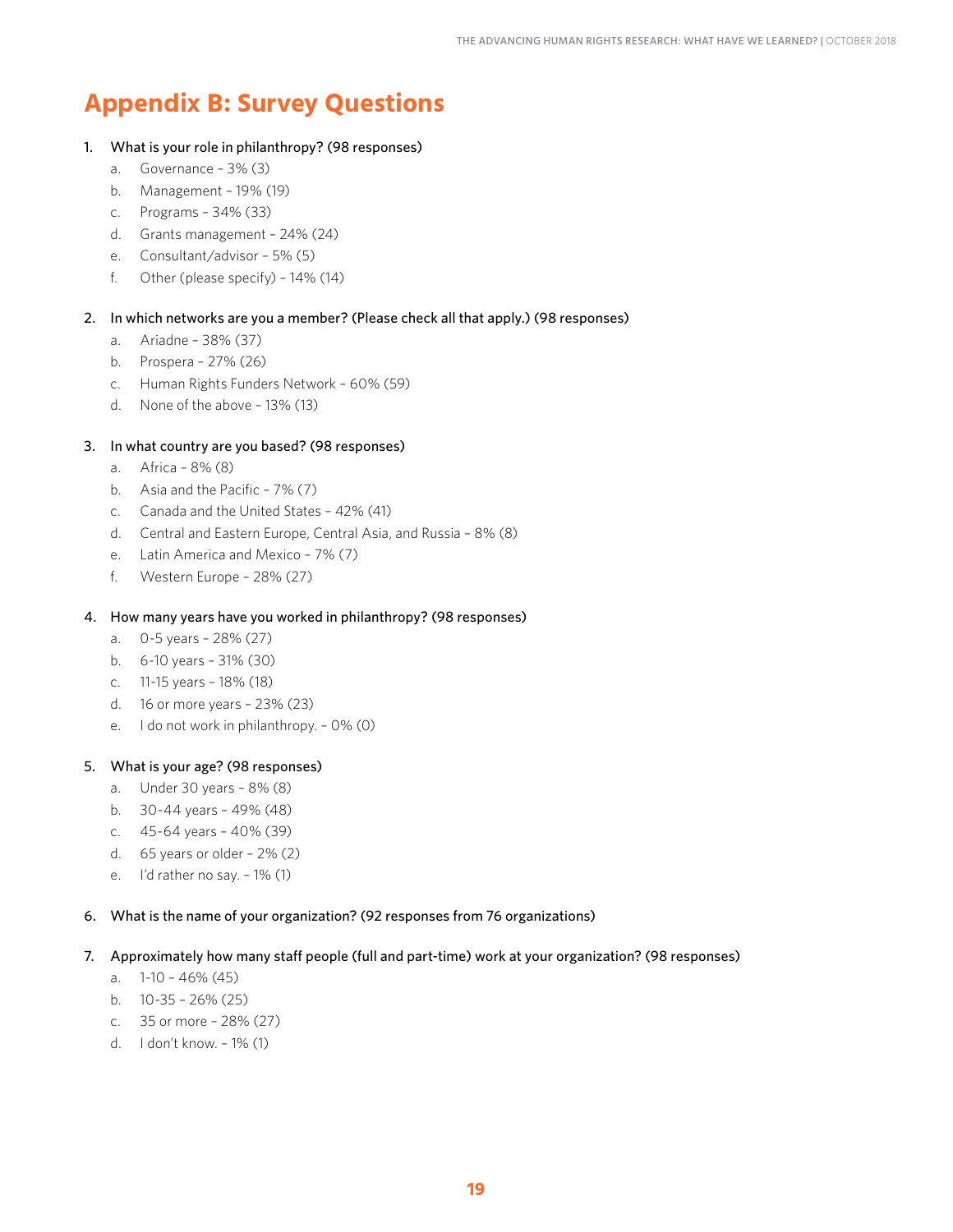## **Appendix B: Survey Questions**

#### 1. What is your role in philanthropy? (98 responses)

- a. Governance 3% (3)
- b. Management 19% (19)
- c. Programs 34% (33)
- d. Grants management 24% (24)
- e. Consultant/advisor 5% (5)
- f. Other (please specify)  $-14\%$  (14)

#### 2. In which networks are you a member? (Please check all that apply.) (98 responses)

- a. Ariadne 38% (37)
- b. Prospera 27% (26)
- c. Human Rights Funders Network 60% (59)
- d. None of the above 13% (13)

#### 3. In what country are you based? (98 responses)

- a. Africa 8% (8)
- b. Asia and the Pacific 7% (7)
- c. Canada and the United States 42% (41)
- d. Central and Eastern Europe, Central Asia, and Russia 8% (8)
- e. Latin America and Mexico 7% (7)
- f. Western Europe 28% (27)
- 4. How many years have you worked in philanthropy? (98 responses)
	- a. 0-5 years 28% (27)
	- b. 6-10 years 31% (30)
	- c. 11-15 years 18% (18)
	- d. 16 or more years 23% (23)
	- e. I do not work in philanthropy. 0% (0)

#### 5. What is your age? (98 responses)

- a. Under 30 years 8% (8)
- b. 30-44 years 49% (48)
- c. 45-64 years 40% (39)
- d. 65 years or older 2% (2)
- e. I'd rather no say. 1% (1)

#### 6. What is the name of your organization? (92 responses from 76 organizations)

#### 7. Approximately how many staff people (full and part-time) work at your organization? (98 responses)

- a. 1-10 46% (45)
- b. 10-35 26% (25)
- c. 35 or more 28% (27)
- d. I don't know. 1% (1)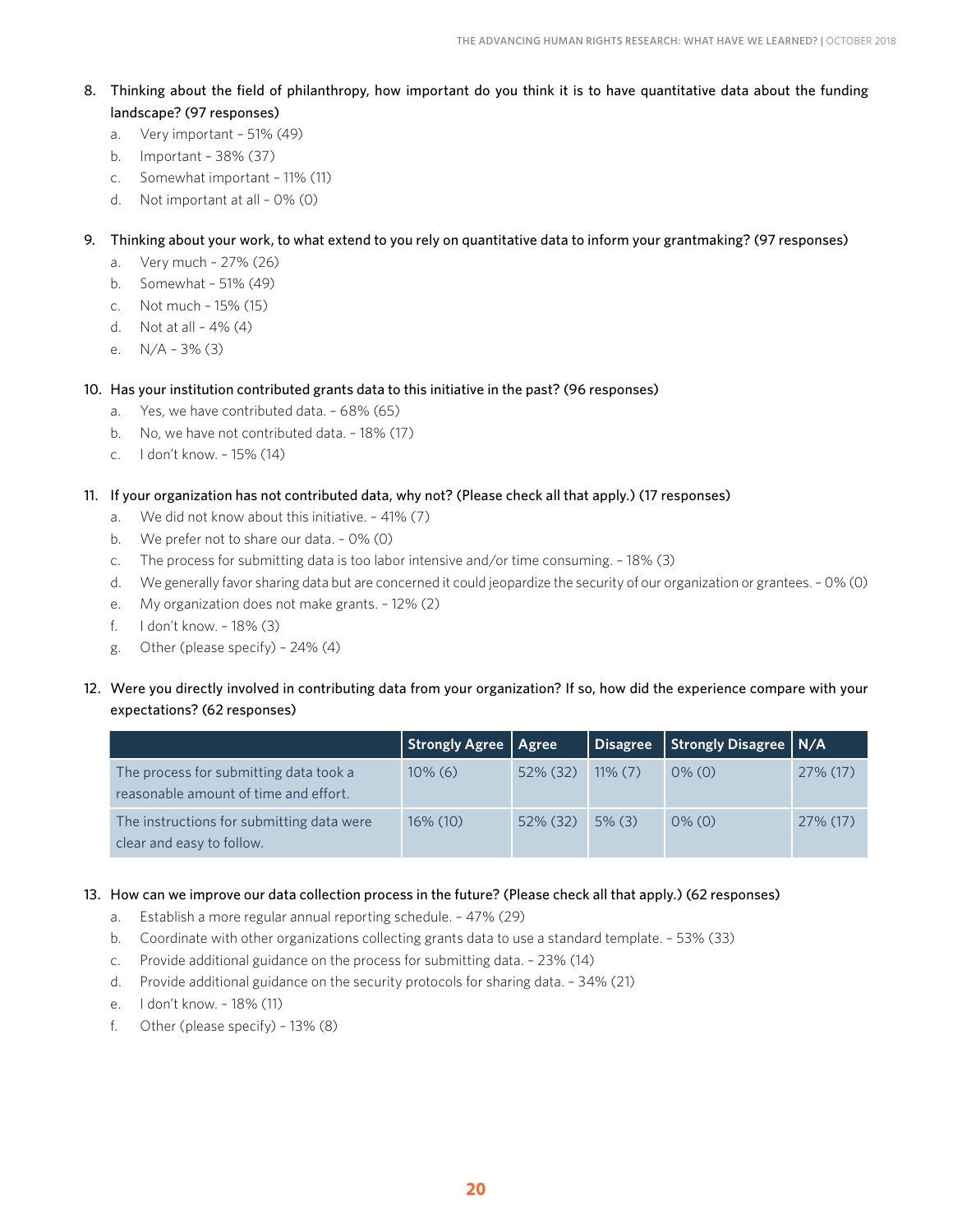- 8. Thinking about the field of philanthropy, how important do you think it is to have quantitative data about the funding landscape? (97 responses)
	- a. Very important 51% (49)
	- b. Important 38% (37)
	- c. Somewhat important 11% (11)
	- d. Not important at all 0% (0)

#### 9. Thinking about your work, to what extend to you rely on quantitative data to inform your grantmaking? (97 responses)

- a. Very much 27% (26)
- b. Somewhat 51% (49)
- c. Not much 15% (15)
- d. Not at all  $-4\%$  (4)
- e. N/A 3% (3)
- 10. Has your institution contributed grants data to this initiative in the past? (96 responses)
	- a. Yes, we have contributed data. 68% (65)
	- b. No, we have not contributed data. 18% (17)
	- c. I don't know. 15% (14)

#### 11. If your organization has not contributed data, why not? (Please check all that apply.) (17 responses)

- a. We did not know about this initiative. 41% (7)
- b. We prefer not to share our data. 0% (0)
- c. The process for submitting data is too labor intensive and/or time consuming. 18% (3)
- d. We generally favor sharing data but are concerned it could jeopardize the security of our organization or grantees. 0% (0)
- e. My organization does not make grants. 12% (2)
- f. I don't know. 18% (3)
- g. Other (please specify) 24% (4)
- 12. Were you directly involved in contributing data from your organization? If so, how did the experience compare with your expectations? (62 responses)

|                                                                                 | Strongly Agree   Agree |             | Disagree   | Strongly Disagree   N/A |          |
|---------------------------------------------------------------------------------|------------------------|-------------|------------|-------------------------|----------|
| The process for submitting data took a<br>reasonable amount of time and effort. | $10\%$ (6)             | 52% (32)    | $11\%$ (7) | $0\%$ (0)               | 27% (17) |
| The instructions for submitting data were<br>clear and easy to follow.          | 16% (10)               | $52\%$ (32) | $5\%$ (3)  | $0\%$ (0)               | 27% (17) |

13. How can we improve our data collection process in the future? (Please check all that apply.) (62 responses)

- a. Establish a more regular annual reporting schedule. 47% (29)
- b. Coordinate with other organizations collecting grants data to use a standard template. 53% (33)
- c. Provide additional guidance on the process for submitting data. 23% (14)
- d. Provide additional guidance on the security protocols for sharing data. 34% (21)
- e. I don't know. 18% (11)
- f. Other (please specify) 13% (8)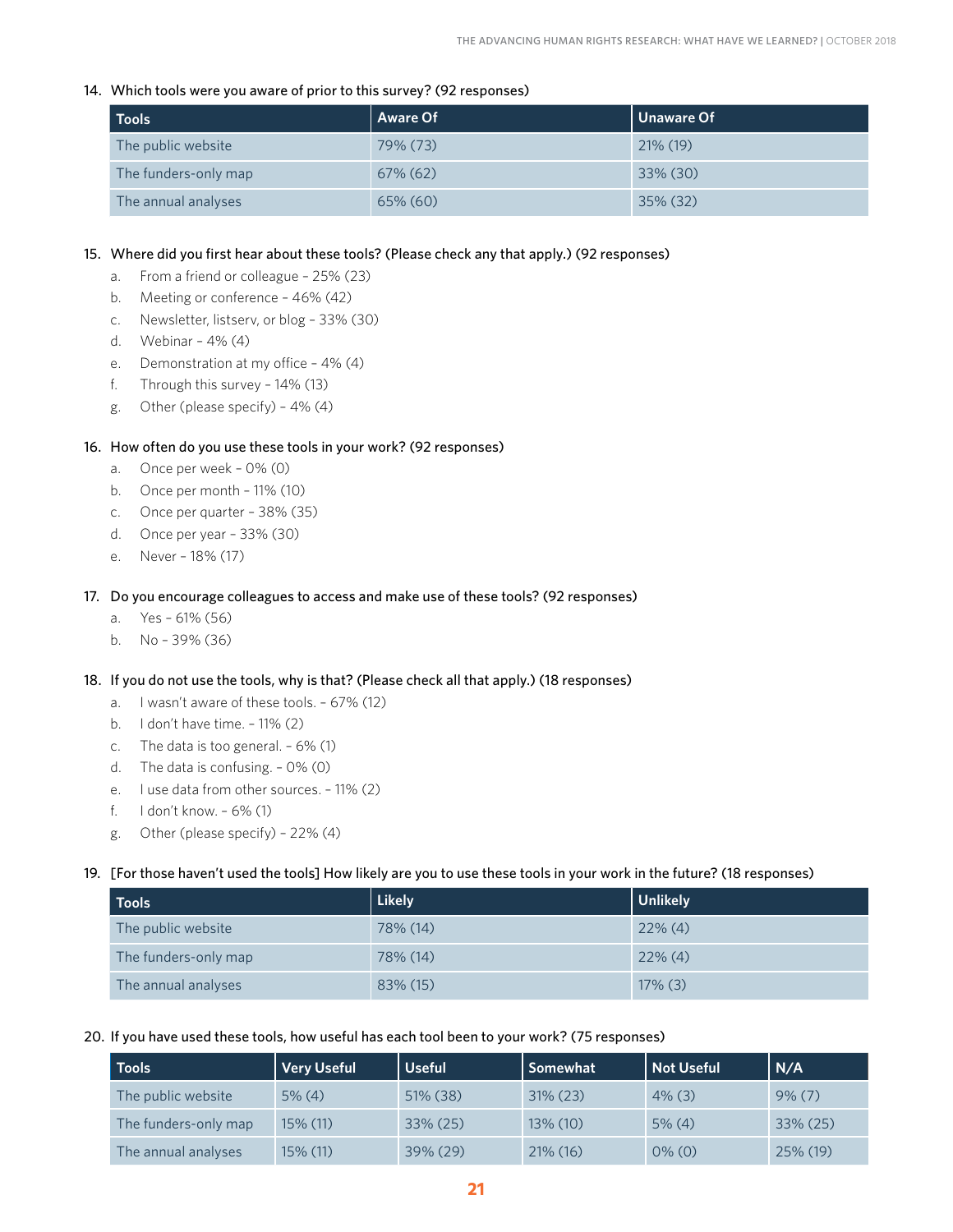#### 14. Which tools were you aware of prior to this survey? (92 responses)

| Tools                | <b>Aware Of</b> | Unaware Of  |
|----------------------|-----------------|-------------|
| The public website   | 79% (73)        | $21\%$ (19) |
| The funders-only map | $67\%$ $(62)$   | 33% (30)    |
| The annual analyses  | 65% (60)        | $35\%$ (32) |

#### 15. Where did you first hear about these tools? (Please check any that apply.) (92 responses)

- a. From a friend or colleague 25% (23)
- b. Meeting or conference 46% (42)
- c. Newsletter, listserv, or blog 33% (30)
- d. Webinar 4% (4)
- e. Demonstration at my office 4% (4)
- f. Through this survey 14% (13)
- g. Other (please specify) 4% (4)

#### 16. How often do you use these tools in your work? (92 responses)

- a. Once per week 0% (0)
- b. Once per month 11% (10)
- c. Once per quarter 38% (35)
- d. Once per year 33% (30)
- e. Never 18% (17)

#### 17. Do you encourage colleagues to access and make use of these tools? (92 responses)

- a. Yes 61% (56)
- b. No 39% (36)

#### 18. If you do not use the tools, why is that? (Please check all that apply.) (18 responses)

- a. I wasn't aware of these tools. 67% (12)
- b. I don't have time. 11% (2)
- c. The data is too general. 6% (1)
- d. The data is confusing. 0% (0)
- e. I use data from other sources. 11% (2)
- f. I don't know. 6% (1)
- g. Other (please specify) 22% (4)

#### 19. [For those haven't used the tools] How likely are you to use these tools in your work in the future? (18 responses)

| <b>Tools</b>         | Likely   | Unlikely   |
|----------------------|----------|------------|
| The public website   | 78% (14) | $22\%$ (4) |
| The funders-only map | 78% (14) | $22\%$ (4) |
| The annual analyses  | 83% (15) | $17\%$ (3) |

#### 20. If you have used these tools, how useful has each tool been to your work? (75 responses)

| <b>Tools</b>         | Very Useful | <b>Useful</b> | Somewhat    | Not Useful | N/A       |
|----------------------|-------------|---------------|-------------|------------|-----------|
| The public website   | $5\%$ (4)   | $51\%$ (38)   | $31\%$ (23) | $4\%$ (3)  | $9\%$ (7) |
| The funders-only map | 15% (11)    | 33% (25)      | $13\%$ (10) | $5\%$ (4)  | 33% (25)  |
| The annual analyses  | 15% (11)    | $39\% (29)$   | $21\%$ (16) | $0\%$ (0)  | 25% (19)  |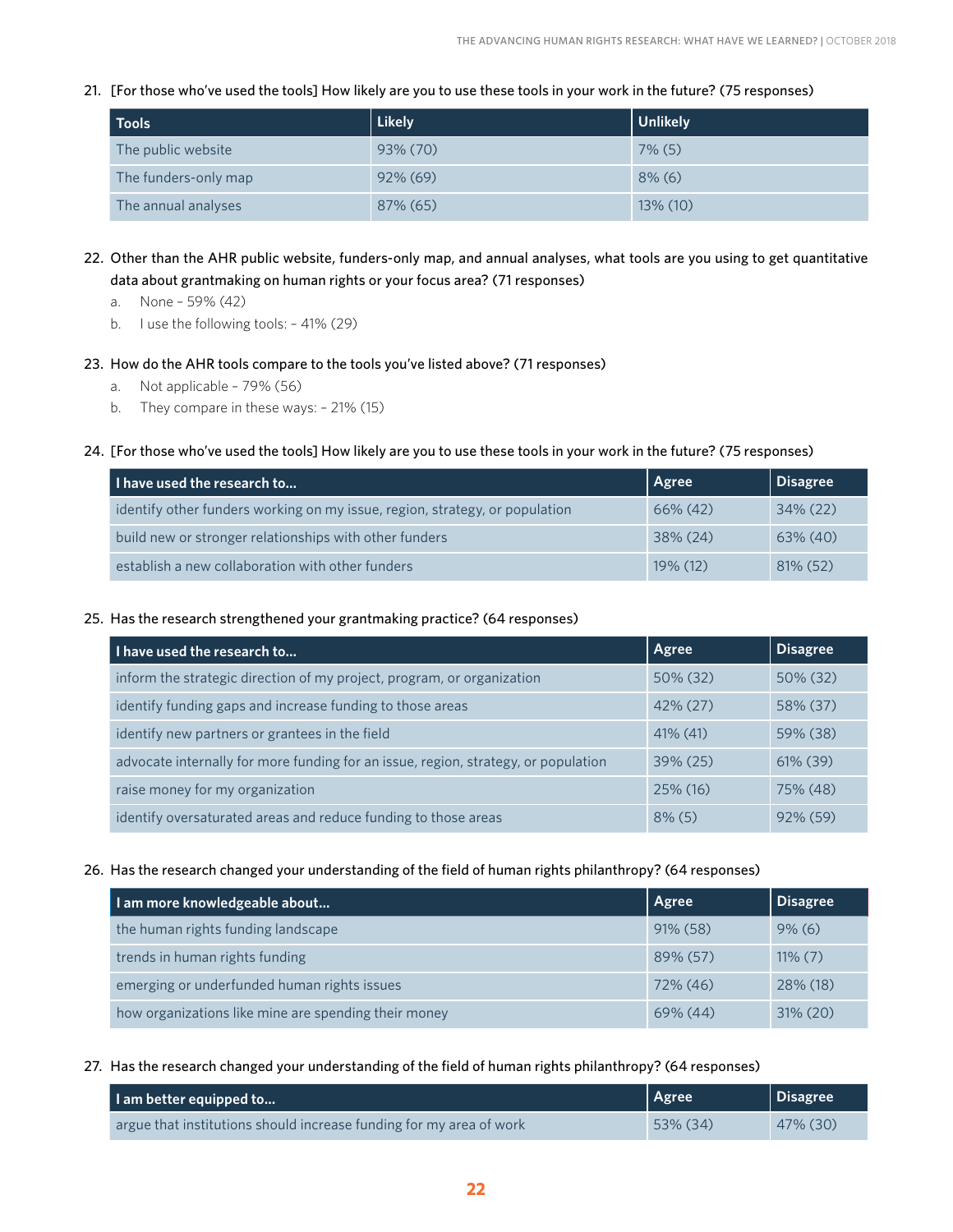21. [For those who've used the tools] How likely are you to use these tools in your work in the future? (75 responses)

| <b>Tools</b>         | Likely      | Unlikely  |
|----------------------|-------------|-----------|
| The public website   | 93% (70)    | $7\%$ (5) |
| The funders-only map | $92\%$ (69) | $8\%$ (6) |
| The annual analyses  | 87% (65)    | 13% (10)  |

- 22. Other than the AHR public website, funders-only map, and annual analyses, what tools are you using to get quantitative data about grantmaking on human rights or your focus area? (71 responses)
	- a. None 59% (42)
	- b. I use the following tools: 41% (29)
- 23. How do the AHR tools compare to the tools you've listed above? (71 responses)
	- a. Not applicable 79% (56)
	- b. They compare in these ways: 21% (15)
- 24. [For those who've used the tools] How likely are you to use these tools in your work in the future? (75 responses)

| I have used the research to                                                 | Agree       | Disagree    |
|-----------------------------------------------------------------------------|-------------|-------------|
| identify other funders working on my issue, region, strategy, or population | $66\%$ (42) | $34\%$ (22) |
| build new or stronger relationships with other funders                      | $38\% (24)$ | $63\%$ (40) |
| establish a new collaboration with other funders                            | $19\%$ (12) | $81\%$ (52) |

25. Has the research strengthened your grantmaking practice? (64 responses)

| I have used the research to                                                        | Agree       | <b>Disagree</b> |
|------------------------------------------------------------------------------------|-------------|-----------------|
| inform the strategic direction of my project, program, or organization             | 50% (32)    | $50\%$ (32)     |
| identify funding gaps and increase funding to those areas                          | 42% (27)    | 58% (37)        |
| identify new partners or grantees in the field                                     | $41\%$ (41) | 59% (38)        |
| advocate internally for more funding for an issue, region, strategy, or population | $39\% (25)$ | $61\%$ (39)     |
| raise money for my organization                                                    | 25% (16)    | 75% (48)        |
| identify oversaturated areas and reduce funding to those areas                     | $8\%$ (5)   | 92% (59)        |

26. Has the research changed your understanding of the field of human rights philanthropy? (64 responses)

| I am more knowledgeable about                        | <b>Agree</b> | <b>Disagree</b> |
|------------------------------------------------------|--------------|-----------------|
| the human rights funding landscape                   | $91\%$ (58)  | $9\%$ (6)       |
| trends in human rights funding                       | 89% (57)     | $11\%$ (7)      |
| emerging or underfunded human rights issues          | 72% (46)     | 28% (18)        |
| how organizations like mine are spending their money | $69\%$ (44)  | $31\% (20)$     |

27. Has the research changed your understanding of the field of human rights philanthropy? (64 responses)

| I am better equipped to                                             | Agree    | Disagree |
|---------------------------------------------------------------------|----------|----------|
| argue that institutions should increase funding for my area of work | 53% (34) | 47% (30) |